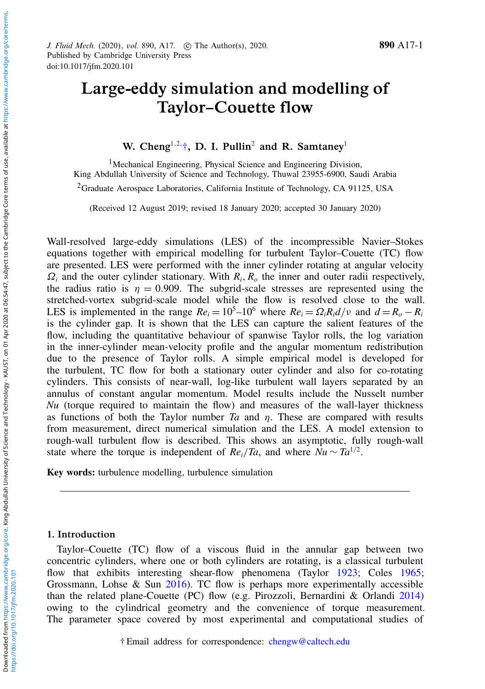<span id="page-0-2"></span>Downloaded from

# Large-eddy simulation and modelling of Taylor–Couette flow

# <span id="page-0-0"></span>W. [Cheng](https://orcid.org/0000-0003-3960-4162)<sup>[1,](#page-0-0)[2,](#page-0-1) $\dagger$ </sup>, D. I. Pullin<sup>[2](#page-0-1)</sup> and R. Samtaney<sup>[1](#page-0-0)</sup>

<span id="page-0-1"></span><sup>1</sup>Mechanical Engineering, Physical Science and Engineering Division, King Abdullah University of Science and Technology, Thuwal 23955-6900, Saudi Arabia <sup>2</sup>Graduate Aerospace Laboratories, California Institute of Technology, CA 91125, USA

(Received 12 August 2019; revised 18 January 2020; accepted 30 January 2020)

Wall-resolved large-eddy simulations (LES) of the incompressible Navier–Stokes equations together with empirical modelling for turbulent Taylor–Couette (TC) flow are presented. LES were performed with the inner cylinder rotating at angular velocity  $\Omega_i$  and the outer cylinder stationary. With  $R_i$ ,  $R_o$  the inner and outer radii respectively, the radius ratio is  $\eta = 0.909$ . The subgrid-scale stresses are represented using the stretched-vortex subgrid-scale model while the flow is resolved close to the wall. LES is implemented in the range  $Re_i = 10^5 - 10^6$  where  $Re_i = \Omega_i R_i d/v$  and  $d = R_o - R_i$ is the cylinder gap. It is shown that the LES can capture the salient features of the flow, including the quantitative behaviour of spanwise Taylor rolls, the log variation in the inner-cylinder mean-velocity profile and the angular momentum redistribution due to the presence of Taylor rolls. A simple empirical model is developed for the turbulent, TC flow for both a stationary outer cylinder and also for co-rotating cylinders. This consists of near-wall, log-like turbulent wall layers separated by an annulus of constant angular momentum. Model results include the Nusselt number *Nu* (torque required to maintain the flow) and measures of the wall-layer thickness as functions of both the Taylor number  $Ta$  and  $n$ . These are compared with results from measurement, direct numerical simulation and the LES. A model extension to rough-wall turbulent flow is described. This shows an asymptotic, fully rough-wall state where the torque is independent of  $Re_i/Ta$ , and where  $Nu \sim Ta^{1/2}$ .

Key words: turbulence modelling, turbulence simulation

## 1. Introduction

Taylor–Couette (TC) flow of a viscous fluid in the annular gap between two concentric cylinders, where one or both cylinders are rotating, is a classical turbulent flow that exhibits interesting shear-flow phenomena (Taylor [1923;](#page-30-0) Coles [1965;](#page-29-0) Grossmann, Lohse & Sun [2016\)](#page-29-1). TC flow is perhaps more experimentally accessible than the related plane-Couette (PC) flow (e.g. Pirozzoli, Bernardini & Orlandi [2014\)](#page-29-2) owing to the cylindrical geometry and the convenience of torque measurement. The parameter space covered by most experimental and computational studies of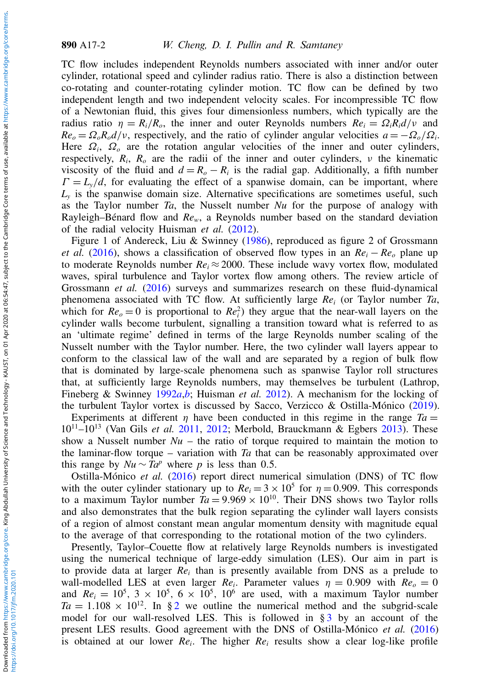890 A17-2 W. Cheng, D. I. Pullin and R. Samtaney

TC flow includes independent Reynolds numbers associated with inner and/or outer cylinder, rotational speed and cylinder radius ratio. There is also a distinction between co-rotating and counter-rotating cylinder motion. TC flow can be defined by two independent length and two independent velocity scales. For incompressible TC flow of a Newtonian fluid, this gives four dimensionless numbers, which typically are the radius ratio  $\eta = R_i/R_o$ , the inner and outer Reynolds numbers  $Re_i = \Omega_i R_i d/v$  and  $Re_o = \Omega_o R_o d/v$ , respectively, and the ratio of cylinder angular velocities  $a = -\Omega_o/\Omega_i$ . Here  $\Omega_i$ ,  $\Omega_o$  are the rotation angular velocities of the inner and outer cylinders, respectively,  $R_i$ ,  $R_o$  are the radii of the inner and outer cylinders,  $\nu$  the kinematic viscosity of the fluid and  $d = R_o - R_i$  is the radial gap. Additionally, a fifth number  $\Gamma = L_y/d$ , for evaluating the effect of a spanwise domain, can be important, where *Ly* is the spanwise domain size. Alternative specifications are sometimes useful, such as the Taylor number *Ta*, the Nusselt number *Nu* for the purpose of analogy with Rayleigh–Bénard flow and *Rew*, a Reynolds number based on the standard deviation of the radial velocity Huisman *et al.* [\(2012\)](#page-29-3).

Figure 1 of Andereck, Liu & Swinney [\(1986\)](#page-28-0), reproduced as figure 2 of Grossmann *et al.* [\(2016\)](#page-29-1), shows a classification of observed flow types in an  $Re<sub>i</sub> − Re<sub>o</sub>$  plane up to moderate Reynolds number  $Re_i \approx 2000$ . These include wavy vortex flow, modulated waves, spiral turbulence and Taylor vortex flow among others. The review article of Grossmann *et al.* [\(2016\)](#page-29-1) surveys and summarizes research on these fluid-dynamical phenomena associated with TC flow. At sufficiently large *Re<sup>i</sup>* (or Taylor number *Ta*, which for  $Re_0 = 0$  is proportional to  $Re_i^2$ ) they argue that the near-wall layers on the cylinder walls become turbulent, signalling a transition toward what is referred to as an 'ultimate regime' defined in terms of the large Reynolds number scaling of the Nusselt number with the Taylor number. Here, the two cylinder wall layers appear to conform to the classical law of the wall and are separated by a region of bulk flow that is dominated by large-scale phenomena such as spanwise Taylor roll structures that, at sufficiently large Reynolds numbers, may themselves be turbulent (Lathrop, Fineberg & Swinney [1992](#page-29-4)*a*,*[b](#page-29-5)*; Huisman *et al.* [2012\)](#page-29-3). A mechanism for the locking of the turbulent Taylor vortex is discussed by Sacco, Verzicco & Ostilla-Mónico [\(2019\)](#page-29-6).

Experiments at different  $\eta$  have been conducted in this regime in the range  $Ta =$ 10<sup>11</sup>–10<sup>13</sup> (Van Gils *et al.* [2011,](#page-30-1) [2012;](#page-30-2) Merbold, Brauckmann & Egbers [2013\)](#page-29-7). These show a Nusselt number  $Nu$  – the ratio of torque required to maintain the motion to the laminar-flow torque – variation with *Ta* that can be reasonably approximated over this range by  $Nu \sim Ta^p$  where *p* is less than 0.5.

Ostilla-Mónico *et al.* [\(2016\)](#page-29-8) report direct numerical simulation (DNS) of TC flow with the outer cylinder stationary up to  $Re_i = 3 \times 10^5$  for  $\eta = 0.909$ . This corresponds to a maximum Taylor number  $Ta = 9.969 \times 10^{10}$ . Their DNS shows two Taylor rolls and also demonstrates that the bulk region separating the cylinder wall layers consists of a region of almost constant mean angular momentum density with magnitude equal to the average of that corresponding to the rotational motion of the two cylinders.

Presently, Taylor–Couette flow at relatively large Reynolds numbers is investigated using the numerical technique of large-eddy simulation (LES). Our aim in part is to provide data at larger *Re*<sup>*i*</sup> than is presently available from DNS as a prelude to wall-modelled LES at even larger  $Re_i$ . Parameter values  $\eta = 0.909$  with  $Re_o = 0$ and  $Re_i = 10^5$ ,  $3 \times 10^5$ ,  $6 \times 10^5$ ,  $10^6$  are used, with a maximum Taylor number  $Ta = 1.108 \times 10^{12}$  $Ta = 1.108 \times 10^{12}$  $Ta = 1.108 \times 10^{12}$ . In § 2 we outline the numerical method and the subgrid-scale model for our wall-resolved LES. This is followed in  $\S$ [3](#page-3-0) by an account of the present LES results. Good agreement with the DNS of Ostilla-Mónico *et al.* [\(2016\)](#page-29-8) is obtained at our lower *Re<sup>i</sup>* . The higher *Re<sup>i</sup>* results show a clear log-like profile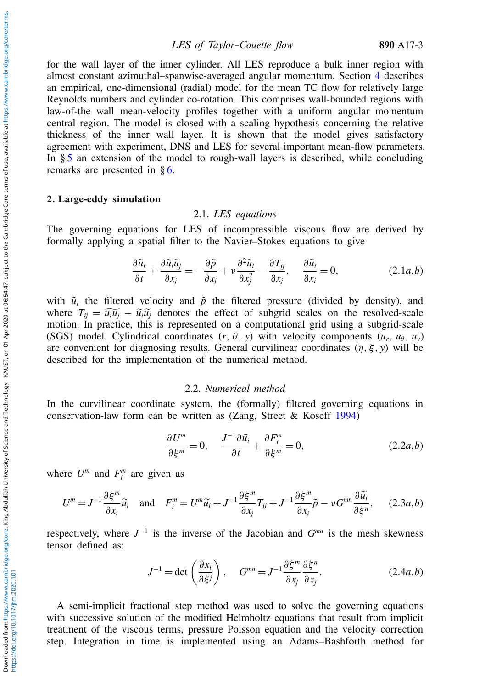LES of Taylor–Couette flow 890 A17-3

for the wall layer of the inner cylinder. All LES reproduce a bulk inner region with almost constant azimuthal–spanwise-averaged angular momentum. Section [4](#page-12-0) describes an empirical, one-dimensional (radial) model for the mean TC flow for relatively large Reynolds numbers and cylinder co-rotation. This comprises wall-bounded regions with law-of-the wall mean-velocity profiles together with a uniform angular momentum central region. The model is closed with a scaling hypothesis concerning the relative thickness of the inner wall layer. It is shown that the model gives satisfactory agreement with experiment, DNS and LES for several important mean-flow parameters. In § [5](#page-20-0) an extension of the model to rough-wall layers is described, while concluding remarks are presented in § [6.](#page-24-0)

#### <span id="page-2-0"></span>2. Large-eddy simulation

## 2.1. *LES equations*

The governing equations for LES of incompressible viscous flow are derived by formally applying a spatial filter to the Navier–Stokes equations to give

$$
\frac{\partial \tilde{u}_i}{\partial t} + \frac{\partial \tilde{u}_i \tilde{u}_j}{\partial x_j} = -\frac{\partial \tilde{p}}{\partial x_j} + \nu \frac{\partial^2 \tilde{u}_i}{\partial x_j^2} - \frac{\partial T_{ij}}{\partial x_j}, \quad \frac{\partial \tilde{u}_i}{\partial x_i} = 0,
$$
\n(2.1*a*,*b*)

with  $\tilde{u}_i$  the filtered velocity and  $\tilde{p}$  the filtered pressure (divided by density), and where  $T_{ii} = \tilde{u}_i \tilde{u}_i - \tilde{u}_i \tilde{u}_i$  denotes the effect of subgrid scales on the resolved-scale motion. In practice, this is represented on a computational grid using a subgrid-scale (SGS) model. Cylindrical coordinates  $(r, \theta, y)$  with velocity components  $(u_r, u_\theta, u_y)$ are convenient for diagnosing results. General curvilinear coordinates  $(\eta, \xi, y)$  will be described for the implementation of the numerical method.

#### 2.2. *Numerical method*

In the curvilinear coordinate system, the (formally) filtered governing equations in conservation-law form can be written as (Zang, Street & Koseff [1994\)](#page-30-3)

$$
\frac{\partial U^m}{\partial \xi^m} = 0, \quad \frac{J^{-1}\partial \tilde{u}_i}{\partial t} + \frac{\partial F_i^m}{\partial \xi^m} = 0,
$$
\n(2.2*a*,*b*)

where  $U^m$  and  $F_i^m$  are given as

$$
U^{m} = J^{-1} \frac{\partial \xi^{m}}{\partial x_{i}} \widetilde{u}_{i} \quad \text{and} \quad F_{i}^{m} = U^{m} \widetilde{u}_{i} + J^{-1} \frac{\partial \xi^{m}}{\partial x_{j}} T_{ij} + J^{-1} \frac{\partial \xi^{m}}{\partial x_{i}} \widetilde{p} - \nu G^{mn} \frac{\partial \widetilde{u}_{i}}{\partial \xi^{n}}, \quad (2.3a, b)
$$

respectively, where  $J^{-1}$  is the inverse of the Jacobian and  $G^{mn}$  is the mesh skewness tensor defined as:

$$
J^{-1} = \det \left( \frac{\partial x_i}{\partial \xi^j} \right), \quad G^{mn} = J^{-1} \frac{\partial \xi^m}{\partial x_j} \frac{\partial \xi^n}{\partial x_j}.
$$
 (2.4*a*,*b*)

A semi-implicit fractional step method was used to solve the governing equations with successive solution of the modified Helmholtz equations that result from implicit treatment of the viscous terms, pressure Poisson equation and the velocity correction step. Integration in time is implemented using an Adams–Bashforth method for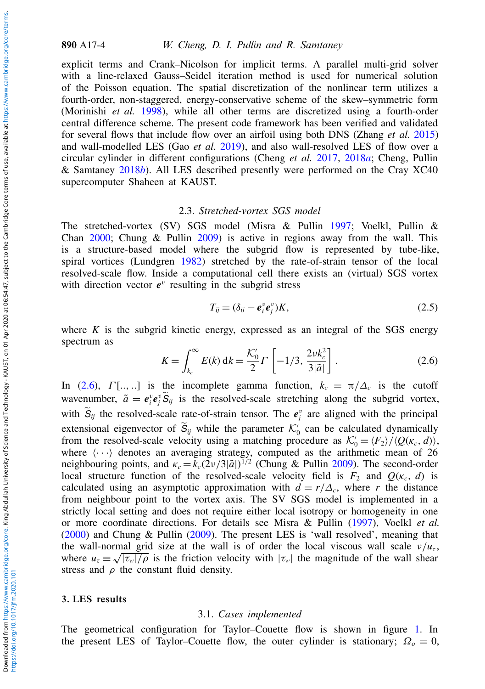890 A17-4 W. Cheng, D. I. Pullin and R. Samtaney

explicit terms and Crank–Nicolson for implicit terms. A parallel multi-grid solver with a line-relaxed Gauss–Seidel iteration method is used for numerical solution of the Poisson equation. The spatial discretization of the nonlinear term utilizes a fourth-order, non-staggered, energy-conservative scheme of the skew–symmetric form (Morinishi *et al.* [1998\)](#page-29-9), while all other terms are discretized using a fourth-order central difference scheme. The present code framework has been verified and validated for several flows that include flow over an airfoil using both DNS (Zhang *et al.* [2015\)](#page-30-4) and wall-modelled LES (Gao *et al.* [2019\)](#page-29-10), and also wall-resolved LES of flow over a circular cylinder in different configurations (Cheng *et al.* [2017,](#page-28-1) [2018](#page-28-2)*a*; Cheng, Pullin & Samtaney [2018](#page-28-3)*b*). All LES described presently were performed on the Cray XC40 supercomputer Shaheen at KAUST.

#### 2.3. *Stretched-vortex SGS model*

The stretched-vortex (SV) SGS model (Misra & Pullin [1997;](#page-29-11) Voelkl, Pullin & Chan [2000;](#page-30-5) Chung & Pullin [2009\)](#page-28-4) is active in regions away from the wall. This is a structure-based model where the subgrid flow is represented by tube-like, spiral vortices (Lundgren [1982\)](#page-29-12) stretched by the rate-of-strain tensor of the local resolved-scale flow. Inside a computational cell there exists an (virtual) SGS vortex with direction vector  $e^v$  resulting in the subgrid stress

$$
T_{ij} = (\delta_{ij} - \boldsymbol{e}_i^v \boldsymbol{e}_j^v) K, \tag{2.5}
$$

where  $K$  is the subgrid kinetic energy, expressed as an integral of the SGS energy spectrum as

<span id="page-3-1"></span>
$$
K = \int_{k_c}^{\infty} E(k) \, \mathrm{d}k = \frac{\mathcal{K}_0'}{2} \Gamma\left[ -1/3, \frac{2 \nu k_c^2}{3|\tilde{a}|} \right]. \tag{2.6}
$$

In [\(2.6\)](#page-3-1),  $\Gamma$ [.., ..] is the incomplete gamma function,  $k_c = \pi/\Delta_c$  is the cutoff wavenumber,  $\tilde{a} = e_i^v e_j^v \tilde{S}_{ij}$  is the resolved-scale stretching along the subgrid vortex, with  $S_{ij}$  the resolved-scale rate-of-strain tensor. The  $e_j^v$  are aligned with the principal extensional eigenvector of  $\widetilde{S}_{ij}$  while the parameter  $\mathcal{K}'_0$  can be calculated dynamically from the resolved-scale velocity using a matching procedure as  $K'_0 = \frac{F_2}{\langle Q(\kappa_c, d) \rangle}$ , where  $\langle \cdots \rangle$  denotes an averaging strategy, computed as the arithmetic mean of 26 neighbouring points, and  $\kappa_c = k_c(2\nu/3|\tilde{a}|)^{1/2}$  (Chung & Pullin [2009\)](#page-28-4). The second-order local structure function of the resolved-scale velocity field is  $F_2$  and  $Q(\kappa_c, d)$  is calculated using an asymptotic approximation with  $d = r/\Delta_c$ , where *r* the distance from neighbour point to the vortex axis. The SV SGS model is implemented in a strictly local setting and does not require either local isotropy or homogeneity in one or more coordinate directions. For details see Misra & Pullin [\(1997\)](#page-29-11), Voelkl *et al.* [\(2000\)](#page-30-5) and Chung & Pullin [\(2009\)](#page-28-4). The present LES is 'wall resolved', meaning that the wall-normal grid size at the wall is of order the local viscous wall scale  $v/u_{\tau}$ , where  $u_{\tau} \equiv \sqrt{|\tau_w|/\rho}$  is the friction velocity with  $|\tau_w|$  the magnitude of the wall shear stress and  $\rho$  the constant fluid density.

#### <span id="page-3-0"></span>3. LES results

#### 3.1. *Cases implemented*

The geometrical configuration for Taylor–Couette flow is shown in figure [1.](#page-4-0) In the present LES of Taylor–Couette flow, the outer cylinder is stationary;  $\Omega_o = 0$ ,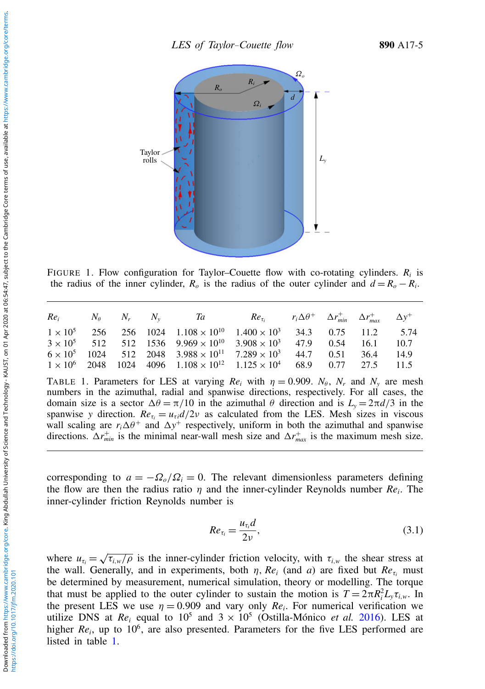<span id="page-4-0"></span>

FIGURE 1. Flow configuration for Taylor–Couette flow with co-rotating cylinders.  $R_i$  is the radius of the inner cylinder,  $R_o$  is the radius of the outer cylinder and  $d = R_o - R_i$ .

<span id="page-4-1"></span>

|  |  | $Re_i$ $N_\theta$ $N_r$ $N_\nu$ $Ta$ $Re_{\tau_i}$ $r_i\Delta\theta^+$ $\Delta r_{min}^+$ $\Delta r_{max}^+$ $\Delta y^+$ |  |  |  |
|--|--|---------------------------------------------------------------------------------------------------------------------------|--|--|--|
|  |  | $1 \times 10^5$ 256 256 1024 1.108 $\times 10^{10}$ 1.400 $\times 10^3$ 34.3 0.75 11.2 5.74                               |  |  |  |
|  |  | $3 \times 10^5$ 512 512 1536 $9.969 \times 10^{10}$ $3.908 \times 10^3$ 47.9 0.54 16.1 10.7                               |  |  |  |
|  |  | $6 \times 10^5$ 1024 512 2048 3.988 $\times 10^{11}$ 7.289 $\times 10^3$ 44.7 0.51 36.4 14.9                              |  |  |  |
|  |  | $1 \times 10^6$ 2048 1024 4096 $1.108 \times 10^{12}$ $1.125 \times 10^4$ 68.9 0.77 27.5 11.5                             |  |  |  |

TABLE 1. Parameters for LES at varying  $Re_i$  with  $\eta = 0.909$ .  $N_\theta$ ,  $N_r$  and  $N_y$  are mesh numbers in the azimuthal, radial and spanwise directions, respectively. For all cases, the domain size is a sector  $\Delta\theta = \pi/10$  in the azimuthal  $\theta$  direction and is  $L_y = 2\pi d/3$  in the spanwise *y* direction.  $Re_{\tau} = u_{\tau i} d/2\nu$  as calculated from the LES. Mesh sizes in viscous wall scaling are  $r_i \Delta \theta^+$  and  $\Delta y^+$  respectively, uniform in both the azimuthal and spanwise directions.  $\Delta r_{min}^+$  is the minimal near-wall mesh size and  $\Delta r_{max}^+$  is the maximum mesh size.

corresponding to  $a = -\Omega_o/\Omega_i = 0$ . The relevant dimensionless parameters defining the flow are then the radius ratio  $\eta$  and the inner-cylinder Reynolds number  $Re_i$ . The inner-cylinder friction Reynolds number is

$$
Re_{\tau_i} = \frac{u_{\tau_i}d}{2\nu},\tag{3.1}
$$

where  $u_{\tau_i} = \sqrt{\frac{u_i}{\tau_i}}$  $\tau_{i,w}/\rho$  is the inner-cylinder friction velocity, with  $\tau_{i,w}$  the shear stress at the wall. Generally, and in experiments, both  $\eta$ ,  $Re_i$  (and *a*) are fixed but  $Re_{\tau_i}$  must be determined by measurement, numerical simulation, theory or modelling. The torque that must be applied to the outer cylinder to sustain the motion is  $T = 2\pi R_i^2 L_y \tau_{i,w}$ . In the present LES we use  $\eta = 0.909$  and vary only  $Re_i$ . For numerical verification we utilize DNS at  $Re_i$  equal to  $10^5$  and  $3 \times 10^5$  (Ostilla-Mónico *et al.* [2016\)](#page-29-8). LES at higher *Re<sub>i</sub>*, up to 10<sup>6</sup>, are also presented. Parameters for the five LES performed are listed in table [1.](#page-4-1)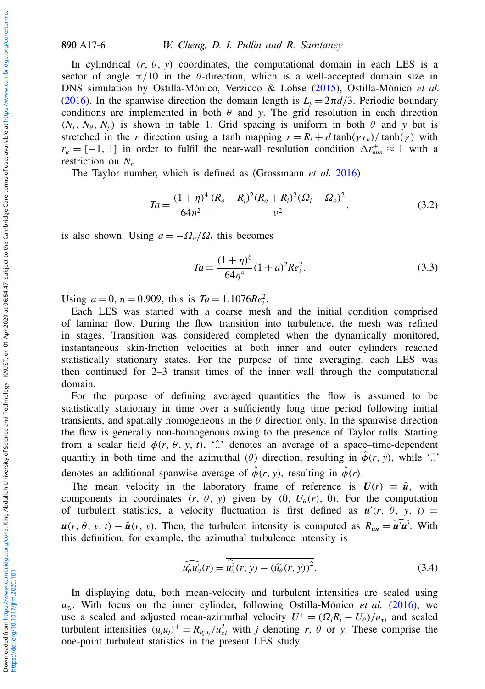#### 890 A17-6 W. Cheng, D. I. Pullin and R. Samtaney

In cylindrical  $(r, \theta, y)$  coordinates, the computational domain in each LES is a sector of angle  $\pi/10$  in the  $\theta$ -direction, which is a well-accepted domain size in DNS simulation by Ostilla-Mónico, Verzicco & Lohse [\(2015\)](#page-29-13), Ostilla-Mónico *et al.* [\(2016\)](#page-29-8). In the spanwise direction the domain length is  $L<sub>y</sub> = 2\pi d/3$ . Periodic boundary conditions are implemented in both  $\theta$  and *y*. The grid resolution in each direction  $(N_r, N_\theta, N_\nu)$  is shown in table [1.](#page-4-1) Grid spacing is uniform in both  $\theta$  and  $\gamma$  but is stretched in the *r* direction using a tanh mapping  $r = R_i + d \tanh(\gamma r_u)/\tanh(\gamma)$  with  $r_u = [-1, 1]$  in order to fulfil the near-wall resolution condition  $\Delta r_{min}^+ \approx 1$  with a restriction on *N<sup>r</sup>* .

The Taylor number, which is defined as (Grossmann *et al.* [2016\)](#page-29-1)

$$
Ta = \frac{(1+\eta)^4}{64\eta^2} \frac{(R_o - R_i)^2 (R_o + R_i)^2 (\Omega_i - \Omega_o)^2}{\nu^2},
$$
\n(3.2)

is also shown. Using  $a = -\Omega_o/\Omega_i$  this becomes

<span id="page-5-0"></span>
$$
Ta = \frac{(1+\eta)^6}{64\eta^4} (1+a)^2 Re_i^2.
$$
 (3.3)

Using  $a = 0$ ,  $\eta = 0.909$ , this is  $Ta = 1.1076Re_i^2$ .

Each LES was started with a coarse mesh and the initial condition comprised of laminar flow. During the flow transition into turbulence, the mesh was refined in stages. Transition was considered completed when the dynamically monitored, instantaneous skin-friction velocities at both inner and outer cylinders reached statistically stationary states. For the purpose of time averaging, each LES was then continued for 2–3 transit times of the inner wall through the computational domain.

For the purpose of defining averaged quantities the flow is assumed to be statistically stationary in time over a sufficiently long time period following initial transients, and spatially homogeneous in the  $\theta$  direction only. In the spanwise direction the flow is generally non-homogenous owing to the presence of Taylor rolls. Starting from a scalar field  $\phi(r, \theta, y, t)$ , '..<sup>o</sup>' denotes an average of a space–time-dependent quantity in both time and the azimuthal ( $\theta$ ) direction, resulting in  $\hat{\phi}(r, y)$ , while '..<sup>†</sup> denotes an additional spanwise average of  $\hat{\phi}(r, y)$ , resulting in  $\hat{\phi}(r)$ .

The mean velocity in the laboratory frame of reference is  $U(r) = \hat{u}$ , with components in coordinates  $(r, \theta, y)$  given by  $(0, U_{\theta}(r), 0)$ . For the computation of turbulent statistics, a velocity fluctuation is first defined as  $u'(r, \theta, y, t) =$  $u(r, \theta, y, t) - \hat{u}(r, y)$ . Then, the turbulent intensity is computed as  $R_{uu} = \hat{u}'\hat{u'}$ . With this definition, for example, the azimuthal turbulence intensity is

$$
\overline{\widetilde{u_{\theta}'u_{\theta}'}}(r) = \overline{\widetilde{u_{\theta}^2}(r, y) - (\widehat{u_{\theta}}(r, y))^2}.
$$
\n(3.4)

In displaying data, both mean-velocity and turbulent intensities are scaled using  $u_{\tau_i}$ . With focus on the inner cylinder, following Ostilla-Mónico *et al.* [\(2016\)](#page-29-8), we use a scaled and adjusted mean-azimuthal velocity  $U^+ = (\Omega_i R_i - U_\theta)/u_{\tau i}$  and scaled turbulent intensities  $(u_j u_j)^+ = R_{u_j u_j} / u_{\tau i}^2$  with *j* denoting *r*,  $\theta$  or *y*. These comprise the one-point turbulent statistics in the present LES study.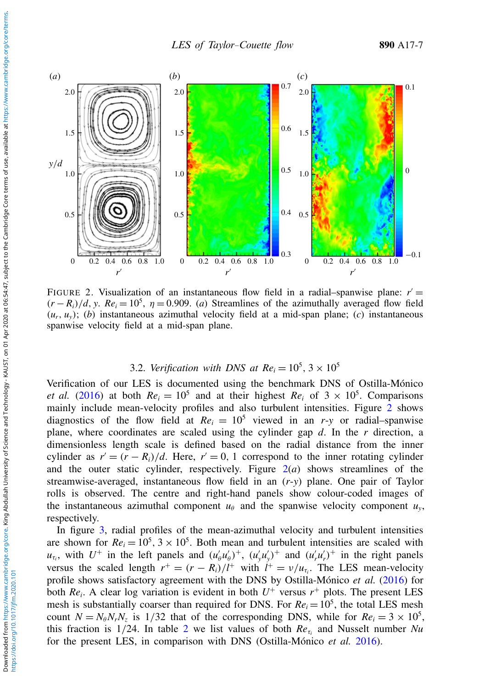<span id="page-6-0"></span>

FIGURE 2. Visualization of an instantaneous flow field in a radial-spanwise plane:  $r' =$  $(r - R_i)/d$ , *y*.  $Re_i = 10^5$ ,  $\eta = 0.909$ . (*a*) Streamlines of the azimuthally averaged flow field  $(u_r, u_v)$ ; (*b*) instantaneous azimuthal velocity field at a mid-span plane; (*c*) instantaneous spanwise velocity field at a mid-span plane.

# 3.2. *Verification with DNS at*  $Re_i = 10^5$ *, 3*  $\times 10^5$

Verification of our LES is documented using the benchmark DNS of Ostilla-Mónico *et al.* [\(2016\)](#page-29-8) at both  $Re_i = 10^5$  and at their highest  $Re_i$  of  $3 \times 10^5$ . Comparisons mainly include mean-velocity profiles and also turbulent intensities. Figure [2](#page-6-0) shows diagnostics of the flow field at  $Re_i = 10^5$  viewed in an *r*-*y* or radial–spanwise plane, where coordinates are scaled using the cylinder gap *d*. In the *r* direction, a dimensionless length scale is defined based on the radial distance from the inner cylinder as  $r' = (r - R_i)/d$ . Here,  $r' = 0$ , 1 correspond to the inner rotating cylinder and the outer static cylinder, respectively. Figure  $2(a)$  $2(a)$  shows streamlines of the streamwise-averaged, instantaneous flow field in an (*r*-*y*) plane. One pair of Taylor rolls is observed. The centre and right-hand panels show colour-coded images of the instantaneous azimuthal component  $u_{\theta}$  and the spanwise velocity component  $u_{y}$ , respectively.

In figure [3,](#page-7-0) radial profiles of the mean-azimuthal velocity and turbulent intensities are shown for  $Re_i = 10^5$ ,  $3 \times 10^5$ . Both mean and turbulent intensities are scaled with  $u_{\tau_i}$ , with  $U^+$  in the left panels and  $(u'_\theta u'_\theta)^+$ ,  $(u'_\theta u'_\theta)^+$  and  $(u'_\tau u'_r)^+$  in the right panels versus the scaled length  $r^+ = (r - R_i)/l^+$  with  $l^+ = v/u_{\tau_i}$ . The LES mean-velocity profile shows satisfactory agreement with the DNS by Ostilla-Mónico *et al.* [\(2016\)](#page-29-8) for both  $Re_i$ . A clear log variation is evident in both  $U^+$  versus  $r^+$  plots. The present LES mesh is substantially coarser than required for DNS. For  $Re_i = 10^5$ , the total LES mesh count  $N = N_{\theta}N_rN_z$  is 1/32 that of the corresponding DNS, while for  $Re_i = 3 \times 10^5$ , this fraction is  $1/24$  $1/24$  $1/24$ . In table 2 we list values of both  $Re_{\tau_i}$  and Nusselt number *Nu* for the present LES, in comparison with DNS (Ostilla-Mónico *et al.* [2016\)](#page-29-8).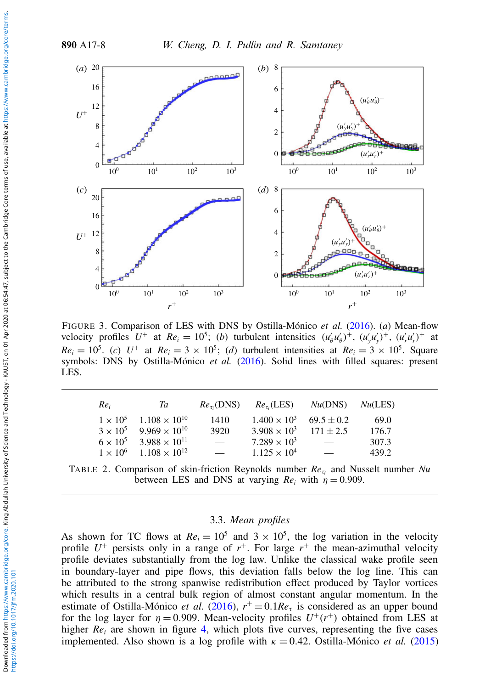<span id="page-7-0"></span>

FIGURE 3. Comparison of LES with DNS by Ostilla-Mónico *et al.* [\(2016\)](#page-29-8). (*a*) Mean-flow velocity profiles  $U^+$  at  $Re_i = 10^5$ ; (*b*) turbulent intensities  $(u'_\theta u'_\theta)^+$ ,  $(u'_y u'_y)^+$ ,  $(u'_r u'_r)^+$  at  $Re_i = 10^5$ . (*c*)  $U^+$  at  $Re_i = 3 \times 10^5$ ; (*d*) turbulent intensities at  $Re_i = 3 \times 10^5$ . Square symbols: DNS by Ostilla-Mónico *et al.* [\(2016\)](#page-29-8). Solid lines with filled squares: present LES.

<span id="page-7-1"></span>

| $Re_i$ | Ta                                     | $Re_{\tau_i}(DNS)$       |                       | $Re_{\tau_i}(LES)$ $Nu(DNS)$ $Nu(LES)$ |       |
|--------|----------------------------------------|--------------------------|-----------------------|----------------------------------------|-------|
|        | $1 \times 10^5$ 1.108 $\times 10^{10}$ | 1410                     | $1.400 \times 10^{3}$ | $69.5 \pm 0.2$                         | 69.0  |
|        | $3 \times 10^5$ 9.969 $\times 10^{10}$ | 3920                     | $3.908 \times 10^{3}$ | $171 \pm 2.5$                          | 176.7 |
|        | $6 \times 10^5$ 3.988 $\times 10^{11}$ | $\overline{\phantom{0}}$ | $7.289 \times 10^{3}$ | $\overline{\phantom{0}}$               | 307.3 |
|        | $1 \times 10^6$ 1.108 $\times 10^{12}$ | $\overline{\phantom{0}}$ | $1.125 \times 10^{4}$ | $\overline{\phantom{0}}$               | 439.2 |

TABLE 2. Comparison of skin-friction Reynolds number *Re*<sup>τ</sup>*<sup>i</sup>* and Nusselt number *Nu* between LES and DNS at varying  $Re_i$  with  $\eta = 0.909$ .

# 3.3. *Mean profiles*

As shown for TC flows at  $Re_i = 10^5$  and  $3 \times 10^5$ , the log variation in the velocity profile  $U^+$  persists only in a range of  $r^+$ . For large  $r^+$  the mean-azimuthal velocity profile deviates substantially from the log law. Unlike the classical wake profile seen in boundary-layer and pipe flows, this deviation falls below the log line. This can be attributed to the strong spanwise redistribution effect produced by Taylor vortices which results in a central bulk region of almost constant angular momentum. In the estimate of Ostilla-Mónico *et al.* [\(2016\)](#page-29-8),  $r^+ = 0.1Re_\tau$  is considered as an upper bound for the log layer for  $\eta = 0.909$ . Mean-velocity profiles  $U^+(r^+)$  obtained from LES at higher  $Re_i$  are shown in figure [4,](#page-8-0) which plots five curves, representing the five cases implemented. Also shown is a log profile with  $\kappa = 0.42$ . Ostilla-Mónico *et al.* [\(2015\)](#page-29-13)

https://doi.org/10.1017/jfm.2020.101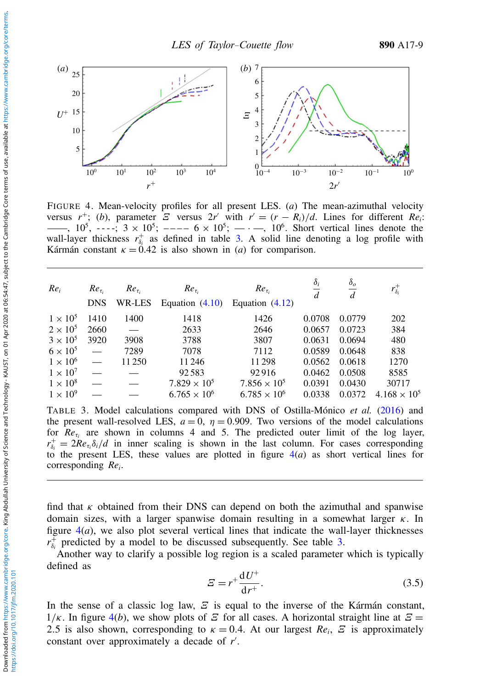<span id="page-8-0"></span>

FIGURE 4. Mean-velocity profiles for all present LES. (*a*) The mean-azimuthal velocity versus  $r^+$ ; (*b*), parameter  $\overline{E}$  versus  $2r'$  with  $r' = (r - R_i)/d$ . Lines for different  $Re_i$ : ——,  $10^5$ , ----;  $3 \times 10^5$ ; ----  $6 \times 10^5$ ; ---,  $10^6$ . Short vertical lines denote the wall-layer thickness  $r_{\delta_i}^+$  as defined in table [3.](#page-8-1) A solid line denoting a log profile with Kármán constant  $\kappa = 0.42$  is also shown in (*a*) for comparison.

<span id="page-8-1"></span>

| $Re_i$          | $Re_{\tau_i}$            | $Re_{\tau_i}$ | $Re_{\tau_i}$         | $Re_{\tau_i}$         | $\delta_i$<br>$\overline{d}$ | $\delta_o$<br>d | $r_{\delta_i}^+$      |
|-----------------|--------------------------|---------------|-----------------------|-----------------------|------------------------------|-----------------|-----------------------|
|                 | <b>DNS</b>               | WR-LES        | Equation $(4.10)$     | Equation $(4.12)$     |                              |                 |                       |
| $1 \times 10^5$ | 1410                     | 1400          | 1418                  | 1426                  | 0.0708                       | 0.0779          | 202                   |
| $2 \times 10^5$ | 2660                     |               | 2633                  | 2646                  | 0.0657                       | 0.0723          | 384                   |
| $3 \times 10^5$ | 3920                     | 3908          | 3788                  | 3807                  | 0.0631                       | 0.0694          | 480                   |
| $6 \times 10^5$ | $\overline{\phantom{0}}$ | 7289          | 7078                  | 7112                  | 0.0589                       | 0.0648          | 838                   |
| $1 \times 10^6$ | $\overline{\phantom{0}}$ | 11 250        | 11 24 6               | 11298                 | 0.0562                       | 0.0618          | 1270                  |
| $1 \times 10^7$ | $\equiv$                 |               | 92583                 | 92916                 | 0.0462                       | 0.0508          | 8585                  |
| $1 \times 10^8$ |                          |               | $7.829 \times 10^{5}$ | $7.856 \times 10^{5}$ | 0.0391                       | 0.0430          | 30717                 |
| $1 \times 10^9$ |                          |               | $6.765 \times 10^{6}$ | $6.785 \times 10^{6}$ | 0.0338                       | 0.0372          | $4.168 \times 10^{5}$ |
|                 |                          |               |                       |                       |                              |                 |                       |

TABLE 3. Model calculations compared with DNS of Ostilla-Mónico *et al.* [\(2016\)](#page-29-8) and the present wall-resolved LES,  $a = 0$ ,  $\eta = 0.909$ . Two versions of the model calculations for  $Re_{\tau_i}$  are shown in columns 4 and 5. The predicted outer limit of the log layer,  $r_{\delta_i}^+ = 2Re_{\tau_i}\delta_i/d$  in inner scaling is shown in the last column. For cases corresponding to the present LES, these values are plotted in figure  $4(a)$  $4(a)$  as short vertical lines for corresponding *Re<sup>i</sup>* .

find that  $\kappa$  obtained from their DNS can depend on both the azimuthal and spanwise domain sizes, with a larger spanwise domain resulting in a somewhat larger  $\kappa$ . In figure  $4(a)$  $4(a)$ , we also plot several vertical lines that indicate the wall-layer thicknesses  $r_{\delta_i}^+$  predicted by a model to be discussed subsequently. See table [3.](#page-8-1)

Another way to clarify a possible log region is a scaled parameter which is typically defined as

$$
E = r^+ \frac{\mathrm{d}U^+}{\mathrm{d}r^+}.\tag{3.5}
$$

In the sense of a classic log law,  $\mathcal E$  is equal to the inverse of the Kármán constant,  $1/\kappa$ . In figure [4\(](#page-8-0)*b*), we show plots of  $\mathcal E$  for all cases. A horizontal straight line at  $\mathcal E$  = 2.5 is also shown, corresponding to  $\kappa = 0.4$ . At our largest  $Re_i$ ,  $\mathcal{Z}$  is approximately constant over approximately a decade of r'.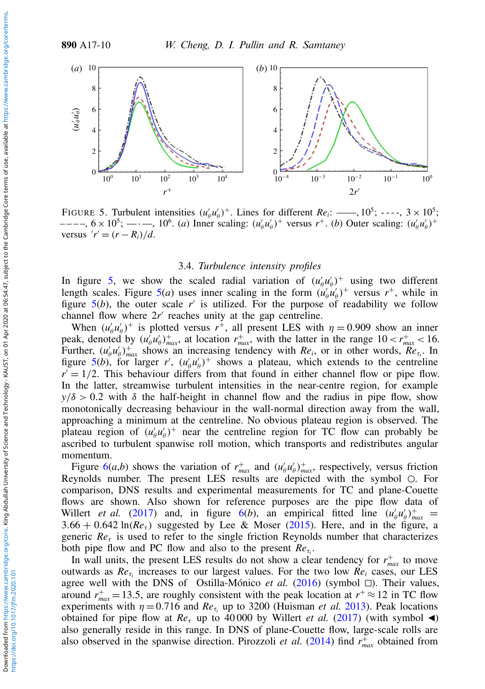<span id="page-9-0"></span>

FIGURE 5. Turbulent intensities  $(u'_\theta u'_\theta)^+$ . Lines for different  $Re_i$ : ——,  $10^5$ ; ----,  $3 \times 10^5$ ;  $---, 6 \times 10^5;$   $---, 10^6$ . (*a*) Inner scaling:  $(u'_0u'_0)^+$  versus *r*<sup>+</sup>. (*b*) Outer scaling:  $(u'_0u'_0)^+$ versus  $'r' = (r - R_i)/d$ .

## 3.4. *Turbulence intensity profiles*

In figure [5,](#page-9-0) we show the scaled radial variation of  $(u'_\theta u'_\theta)^+$  using two different length scales. Figure [5\(](#page-9-0)*a*) uses inner scaling in the form  $(u'_{\theta}u'_{\theta})^+$  versus  $r^+$ , while in figure  $5(b)$  $5(b)$ , the outer scale r' is utilized. For the purpose of readability we follow channel flow where  $2r'$  reaches unity at the gap centreline.

When  $(u'_\n\rho u'_\n\rho)^+$  is plotted versus  $r^+$ , all present LES with  $\eta = 0.909$  show an inner peak, denoted by  $(u_\theta^T u_\theta')_{max}^+$ , at location  $r_{max}^+$ , with the latter in the range  $10 < r_{max}^+ < 16$ . Further,  $(u'_\theta u'_\theta)_{max}^+$  shows an increasing tendency with *Re<sub>i</sub>*, or in other words,  $Re_{\tau_i}$ . In figure [5\(](#page-9-0)*b*), for larger *r'*,  $(u'_{\theta}u'_{\theta})$ <sup>+</sup> shows a plateau, which extends to the centreline  $r' = 1/2$ . This behaviour differs from that found in either channel flow or pipe flow. In the latter, streamwise turbulent intensities in the near-centre region, for example  $y/\delta > 0.2$  with  $\delta$  the half-height in channel flow and the radius in pipe flow, show monotonically decreasing behaviour in the wall-normal direction away from the wall, approaching a minimum at the centreline. No obvious plateau region is observed. The plateau region of  $(u'_\n{\theta} u'_\n{\theta})^+$  near the centreline region for TC flow can probably be ascribed to turbulent spanwise roll motion, which transports and redistributes angular momentum.

Figure  $6(a,b)$  $6(a,b)$  shows the variation of  $r_{max}^+$  and  $(u'_b u'_b)_{max}^+$ , respectively, versus friction Reynolds number. The present LES results are depicted with the symbol  $\circ$ . For comparison, DNS results and experimental measurements for TC and plane-Couette flows are shown. Also shown for reference purposes are the pipe flow data of Willert *et al.* [\(2017\)](#page-30-6) and, in figure [6\(](#page-10-0)*b*), an empirical fitted line  $(u'_\theta u'_\theta)_{max}^+$  =  $3.66 + 0.642 \ln(Re_{\tau})$  suggested by Lee & Moser [\(2015\)](#page-29-14). Here, and in the figure, a generic  $Re<sub>\tau</sub>$  is used to refer to the single friction Reynolds number that characterizes both pipe flow and PC flow and also to the present  $Re_{\tau_i}$ .

In wall units, the present LES results do not show a clear tendency for  $r_{max}^+$  to move outwards as *Re*<sup>τ</sup>*<sup>i</sup>* increases to our largest values. For the two low *Re<sup>i</sup>* cases, our LES agree well with the DNS of Ostilla-Mónico *et al.* [\(2016\)](#page-29-8) (symbol  $\Box$ ). Their values, around  $r_{max}^+ = 13.5$ , are roughly consistent with the peak location at  $r^+ \approx 12$  in TC flow experiments with  $\eta = 0.716$  and  $Re_{\tau_i}$  up to 3200 (Huisman *et al.* [2013\)](#page-29-15). Peak locations obtained for pipe flow at  $Re_\tau$  up to 40 000 by Willert *et al.* [\(2017\)](#page-30-6) (with symbol  $\triangleleft$ ) also generally reside in this range. In DNS of plane-Couette flow, large-scale rolls are also observed in the spanwise direction. Pirozzoli *et al.* [\(2014\)](#page-29-2) find  $r_{max}^{\text{+}}$  obtained from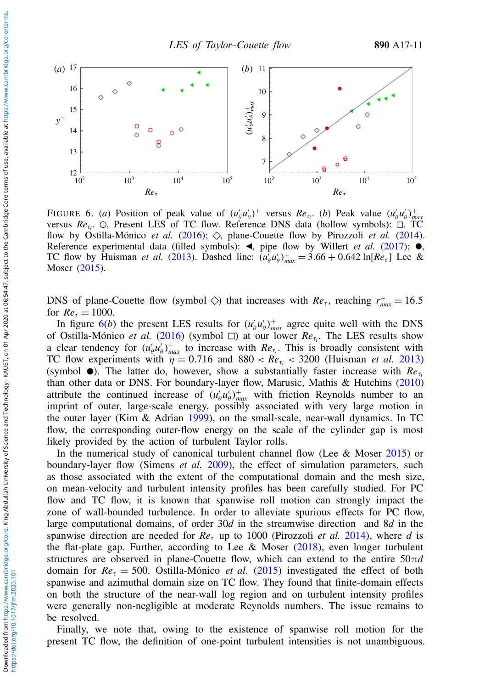<span id="page-10-0"></span>

FIGURE 6. (*a*) Position of peak value of  $(u'_\nho u'_\nho)^+$  versus  $Re_{\tau_i}$ . (*b*) Peak value  $(u'_\nho u'_\nho)^+_{max}$ versus *Re*<sub>τ*i*</sub>. ○, Present LES of TC flow. Reference DNS data (hollow symbols): □, TC flow by Ostilla-Mónico *et al.* [\(2016\)](#page-29-8);  $\Diamond$ , plane-Couette flow by Pirozzoli *et al.* [\(2014\)](#page-29-2). Reference experimental data (filled symbols):  $\blacktriangleleft$ , pipe flow by Willert *et al.* [\(2017\)](#page-30-6);  $\blacktriangleright$ , TC flow by Huisman *et al.* [\(2013\)](#page-29-15). Dashed line:  $(u'_{\theta}u'_{\theta})_{max}^+ = 3.66 + 0.642 \ln[Re_{\tau}]$  Lee & Moser [\(2015\)](#page-29-14).

DNS of plane-Couette flow (symbol  $\Diamond$ ) that increases with *Re<sub>t</sub>*, reaching  $r_{max}^+ = 16.5$ for  $Re_{\tau} = 1000$ .

In figure  $6(b)$  $6(b)$  the present LES results for  $(u'_\theta u'_\theta)_{max}^+$  agree quite well with the DNS of Ostilla-Mónico *et al.* [\(2016\)](#page-29-8) (symbol □) at our lower  $Re_{\tau_i}$ . The LES results show a clear tendency for  $(u'_\theta u'_\theta)_{max}^+$  to increase with  $Re_{\tau_i}$ . This is broadly consistent with TC flow experiments with  $\eta = 0.716$  and  $880 < Re_{\tau_i} < 3200$  (Huisman *et al.* [2013\)](#page-29-15) (symbol  $\bullet$ ). The latter do, however, show a substantially faster increase with  $Re_{\tau_i}$ than other data or DNS. For boundary-layer flow, Marusic, Mathis & Hutchins [\(2010\)](#page-29-16) attribute the continued increase of  $(u'_\theta u'_\theta)_{max}^+$  with friction Reynolds number to an imprint of outer, large-scale energy, possibly associated with very large motion in the outer layer (Kim & Adrian [1999\)](#page-29-17), on the small-scale, near-wall dynamics. In TC flow, the corresponding outer-flow energy on the scale of the cylinder gap is most likely provided by the action of turbulent Taylor rolls.

In the numerical study of canonical turbulent channel flow (Lee & Moser [2015\)](#page-29-14) or boundary-layer flow (Simens *et al.* [2009\)](#page-30-7), the effect of simulation parameters, such as those associated with the extent of the computational domain and the mesh size, on mean-velocity and turbulent intensity profiles has been carefully studied. For PC flow and TC flow, it is known that spanwise roll motion can strongly impact the zone of wall-bounded turbulence. In order to alleviate spurious effects for PC flow, large computational domains, of order 30*d* in the streamwise direction and 8*d* in the spanwise direction are needed for *Re*<sup>τ</sup> up to 1000 (Pirozzoli *et al.* [2014\)](#page-29-2), where *d* is the flat-plate gap. Further, according to Lee & Moser  $(2018)$ , even longer turbulent structures are observed in plane-Couette flow, which can extend to the entire 50π*d* domain for  $Re_\tau = 500$ . Ostilla-Mónico *et al.* [\(2015\)](#page-29-13) investigated the effect of both spanwise and azimuthal domain size on TC flow. They found that finite-domain effects on both the structure of the near-wall log region and on turbulent intensity profiles were generally non-negligible at moderate Reynolds numbers. The issue remains to be resolved.

Finally, we note that, owing to the existence of spanwise roll motion for the present TC flow, the definition of one-point turbulent intensities is not unambiguous.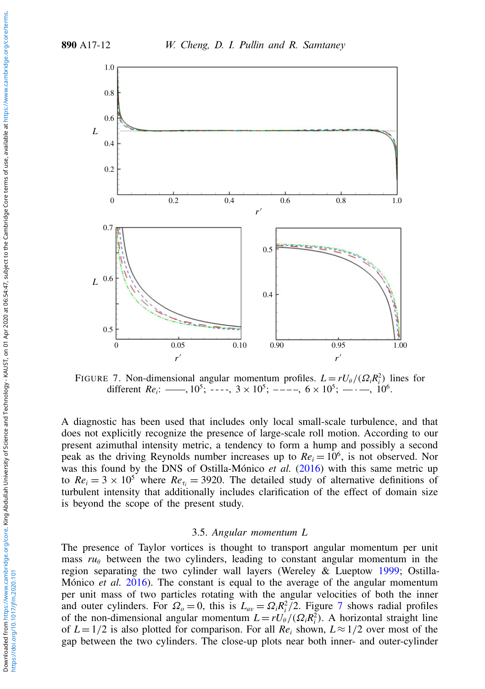<span id="page-11-0"></span>

FIGURE 7. Non-dimensional angular momentum profiles.  $L = rU_{\theta}/(\Omega_i R_i^2)$  lines for different *Re*<sub>*i*</sub>: ---,  $10^5$ ; ----,  $3 \times 10^5$ ; ----,  $6 \times 10^5$ ; ---,  $10^6$ .

A diagnostic has been used that includes only local small-scale turbulence, and that does not explicitly recognize the presence of large-scale roll motion. According to our present azimuthal intensity metric, a tendency to form a hump and possibly a second peak as the driving Reynolds number increases up to  $Re_i = 10^6$ , is not observed. Nor was this found by the DNS of Ostilla-Mónico *et al.* [\(2016\)](#page-29-8) with this same metric up to  $Re_i = 3 \times 10^5$  where  $Re_{\tau_i} = 3920$ . The detailed study of alternative definitions of turbulent intensity that additionally includes clarification of the effect of domain size is beyond the scope of the present study.

#### 3.5. *Angular momentum L*

The presence of Taylor vortices is thought to transport angular momentum per unit mass  $ru_{\theta}$  between the two cylinders, leading to constant angular momentum in the region separating the two cylinder wall layers (Wereley & Lueptow [1999;](#page-30-8) Ostilla-Mónico *et al.* [2016\)](#page-29-8). The constant is equal to the average of the angular momentum per unit mass of two particles rotating with the angular velocities of both the inner and outer cylinders. For  $\Omega_o = 0$ , this is  $L_{av} = \Omega_i R_i^2 / 2$ . Figure [7](#page-11-0) shows radial profiles of the non-dimensional angular momentum  $L = rU_{\theta}/(\Omega_i R_i^2)$ . A horizontal straight line of  $L = 1/2$  is also plotted for comparison. For all  $Re<sub>i</sub>$  shown,  $L \approx 1/2$  over most of the gap between the two cylinders. The close-up plots near both inner- and outer-cylinder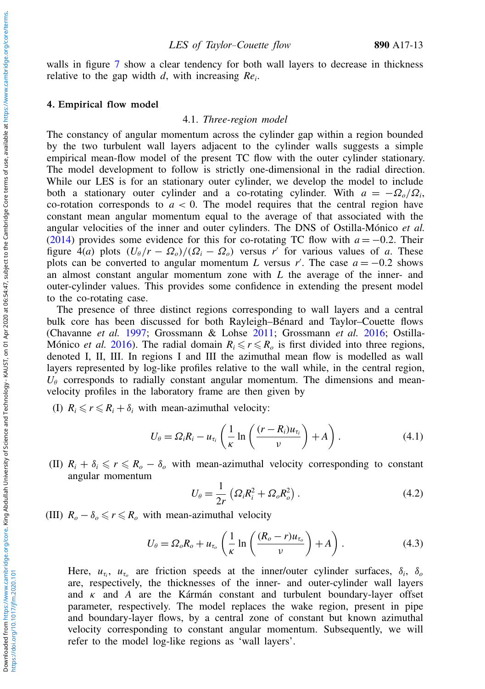walls in figure [7](#page-11-0) show a clear tendency for both wall layers to decrease in thickness relative to the gap width *d*, with increasing *Re<sup>i</sup>* .

#### <span id="page-12-0"></span>4. Empirical flow model

#### 4.1. *Three-region model*

The constancy of angular momentum across the cylinder gap within a region bounded by the two turbulent wall layers adjacent to the cylinder walls suggests a simple empirical mean-flow model of the present TC flow with the outer cylinder stationary. The model development to follow is strictly one-dimensional in the radial direction. While our LES is for an stationary outer cylinder, we develop the model to include both a stationary outer cylinder and a co-rotating cylinder. With  $a = -\Omega_o/\Omega_i$ , co-rotation corresponds to  $a < 0$ . The model requires that the central region have constant mean angular momentum equal to the average of that associated with the angular velocities of the inner and outer cylinders. The DNS of Ostilla-Mónico *et al.* [\(2014\)](#page-29-19) provides some evidence for this for co-rotating TC flow with  $a = -0.2$ . Their figure  $4(a)$  plots  $(U_{\theta}/r - \Omega_o)/(\Omega_i - \Omega_o)$  versus *r'* for various values of *a*. These plots can be converted to angular momentum *L* versus *r'*. The case  $a = -0.2$  shows an almost constant angular momentum zone with *L* the average of the inner- and outer-cylinder values. This provides some confidence in extending the present model to the co-rotating case.

The presence of three distinct regions corresponding to wall layers and a central bulk core has been discussed for both Rayleigh–Bénard and Taylor–Couette flows (Chavanne *et al.* [1997;](#page-28-5) Grossmann & Lohse [2011;](#page-29-20) Grossmann *et al.* [2016;](#page-29-1) Ostilla-Mónico *et al.* [2016\)](#page-29-8). The radial domain  $R_i \le r \le R_o$  is first divided into three regions, denoted I, II, III. In regions I and III the azimuthal mean flow is modelled as wall layers represented by log-like profiles relative to the wall while, in the central region,  $U_{\theta}$  corresponds to radially constant angular momentum. The dimensions and meanvelocity profiles in the laboratory frame are then given by

(I)  $R_i \le r \le R_i + \delta_i$  with mean-azimuthal velocity:

<span id="page-12-1"></span>
$$
U_{\theta} = \Omega_i R_i - u_{\tau_i} \left( \frac{1}{\kappa} \ln \left( \frac{(r - R_i) u_{\tau_i}}{\nu} \right) + A \right). \tag{4.1}
$$

(II)  $R_i + \delta_i \leq r \leq R_o - \delta_o$  with mean-azimuthal velocity corresponding to constant angular momentum

$$
U_{\theta} = \frac{1}{2r} \left( \Omega_i R_i^2 + \Omega_o R_o^2 \right). \tag{4.2}
$$

(III)  $R_o - \delta_o \leq r \leq R_o$  with mean-azimuthal velocity

<span id="page-12-2"></span>
$$
U_{\theta} = \Omega_o R_o + u_{\tau_o} \left( \frac{1}{\kappa} \ln \left( \frac{(R_o - r) u_{\tau_o}}{v} \right) + A \right). \tag{4.3}
$$

Here,  $u_{\tau_i}$ ,  $u_{\tau_o}$  are friction speeds at the inner/outer cylinder surfaces,  $\delta_i$ ,  $\delta_o$ are, respectively, the thicknesses of the inner- and outer-cylinder wall layers and κ and *A* are the Kármán constant and turbulent boundary-layer offset parameter, respectively. The model replaces the wake region, present in pipe and boundary-layer flows, by a central zone of constant but known azimuthal velocity corresponding to constant angular momentum. Subsequently, we will refer to the model log-like regions as 'wall layers'.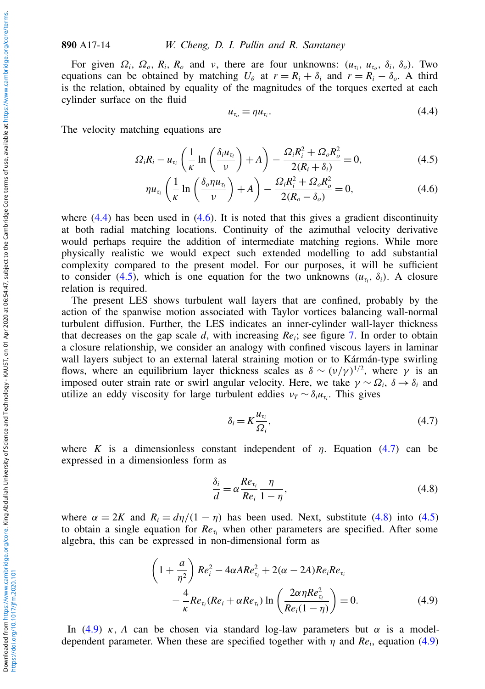For given  $\Omega_i$ ,  $\Omega_o$ ,  $R_i$ ,  $R_o$  and  $\nu$ , there are four unknowns:  $(u_{\tau_i}, u_{\tau_o}, \delta_i, \delta_o)$ . Two equations can be obtained by matching  $U_{\theta}$  at  $r = R_i + \delta_i$  and  $r = R_i - \delta_o$ . A third is the relation, obtained by equality of the magnitudes of the torques exerted at each cylinder surface on the fluid

<span id="page-13-0"></span>
$$
u_{\tau_o} = \eta u_{\tau_i}.\tag{4.4}
$$

The velocity matching equations are

<span id="page-13-2"></span>
$$
\Omega_i R_i - u_{\tau_i} \left( \frac{1}{\kappa} \ln \left( \frac{\delta_i u_{\tau_i}}{\nu} \right) + A \right) - \frac{\Omega_i R_i^2 + \Omega_o R_o^2}{2(R_i + \delta_i)} = 0, \tag{4.5}
$$

<span id="page-13-1"></span>
$$
\eta u_{\tau_i} \left( \frac{1}{\kappa} \ln \left( \frac{\delta_o \eta u_{\tau_i}}{\nu} \right) + A \right) - \frac{\Omega_i R_i^2 + \Omega_o R_o^2}{2(R_o - \delta_o)} = 0, \tag{4.6}
$$

where  $(4.4)$  has been used in  $(4.6)$ . It is noted that this gives a gradient discontinuity at both radial matching locations. Continuity of the azimuthal velocity derivative would perhaps require the addition of intermediate matching regions. While more physically realistic we would expect such extended modelling to add substantial complexity compared to the present model. For our purposes, it will be sufficient to consider [\(4.5\)](#page-13-2), which is one equation for the two unknowns  $(u_{\tau_i}, \delta_i)$ . A closure relation is required.

The present LES shows turbulent wall layers that are confined, probably by the action of the spanwise motion associated with Taylor vortices balancing wall-normal turbulent diffusion. Further, the LES indicates an inner-cylinder wall-layer thickness that decreases on the gap scale  $d$ , with increasing  $Re_i$ ; see figure [7.](#page-11-0) In order to obtain a closure relationship, we consider an analogy with confined viscous layers in laminar wall layers subject to an external lateral straining motion or to Kármán-type swirling flows, where an equilibrium layer thickness scales as  $\delta \sim (\nu/\gamma)^{1/2}$ , where  $\gamma$  is an imposed outer strain rate or swirl angular velocity. Here, we take  $\gamma \sim \Omega_i$ ,  $\delta \to \delta_i$  and utilize an eddy viscosity for large turbulent eddies  $v_T \sim \delta_i u_{\tau_i}$ . This gives

<span id="page-13-3"></span>
$$
\delta_i = K \frac{u_{\tau_i}}{\Omega_i},\tag{4.7}
$$

where *K* is a dimensionless constant independent of  $\eta$ . Equation [\(4.7\)](#page-13-3) can be expressed in a dimensionless form as

<span id="page-13-4"></span>
$$
\frac{\delta_i}{d} = \alpha \frac{Re_{\tau_i}}{Re_i} \frac{\eta}{1 - \eta},\tag{4.8}
$$

where  $\alpha = 2K$  and  $R_i = d\eta/(1 - \eta)$  has been used. Next, substitute [\(4.8\)](#page-13-4) into [\(4.5\)](#page-13-2) to obtain a single equation for  $Re<sub>t<sub>i</sub></sub>$  when other parameters are specified. After some algebra, this can be expressed in non-dimensional form as

<span id="page-13-5"></span>
$$
\left(1+\frac{a}{\eta^2}\right)Re_i^2 - 4\alpha ARe_{\tau_i}^2 + 2(\alpha - 2A)Re_iRe_{\tau_i}
$$

$$
-\frac{4}{\kappa}Re_{\tau_i}(Re_i + \alpha Re_{\tau_i})\ln\left(\frac{2\alpha\eta Re_{\tau_i}^2}{Re_i(1-\eta)}\right) = 0.
$$
(4.9)

In [\(4.9\)](#page-13-5)  $\kappa$ , *A* can be chosen via standard log-law parameters but  $\alpha$  is a modeldependent parameter. When these are specified together with  $\eta$  and  $Re_i$ , equation [\(4.9\)](#page-13-5)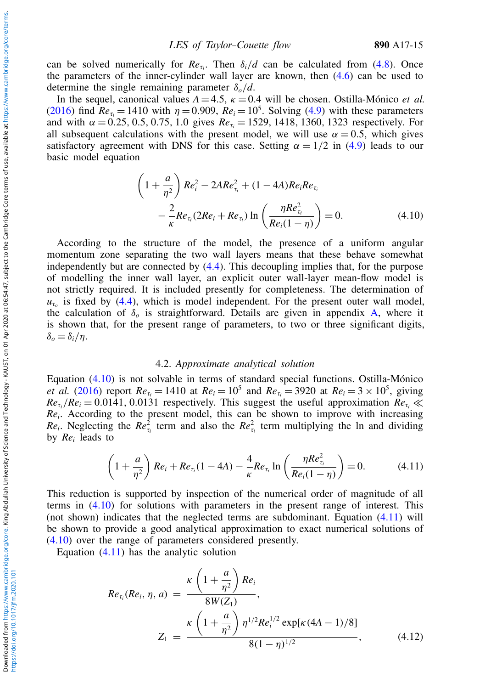can be solved numerically for  $Re_{\tau_i}$ . Then  $\delta_i/d$  can be calculated from [\(4.8\)](#page-13-4). Once the parameters of the inner-cylinder wall layer are known, then [\(4.6\)](#page-13-1) can be used to determine the single remaining parameter δ*o*/*d*.

In the sequel, canonical values  $A = 4.5$ ,  $\kappa = 0.4$  will be chosen. Ostilla-Mónico *et al.* [\(2016\)](#page-29-8) find  $Re_{\tau_i} = 1410$  with  $\eta = 0.909$ ,  $Re_i = 10^5$ . Solving [\(4.9\)](#page-13-5) with these parameters and with  $\alpha = 0.25, 0.5, 0.75, 1.0$  gives  $Re<sub>t<sub>i</sub></sub> = 1529, 1418, 1360, 1323$  respectively. For all subsequent calculations with the present model, we will use  $\alpha = 0.5$ , which gives satisfactory agreement with DNS for this case. Setting  $\alpha = 1/2$  in [\(4.9\)](#page-13-5) leads to our basic model equation

<span id="page-14-0"></span>
$$
\left(1 + \frac{a}{\eta^2}\right) Re_i^2 - 2ARe_{\tau_i}^2 + (1 - 4A)Re_i Re_{\tau_i} \n- \frac{2}{\kappa} Re_{\tau_i} (2Re_i + Re_{\tau_i}) \ln \left(\frac{\eta Re_{\tau_i}^2}{Re_i (1 - \eta)}\right) = 0.
$$
\n(4.10)

According to the structure of the model, the presence of a uniform angular momentum zone separating the two wall layers means that these behave somewhat independently but are connected by [\(4.4\)](#page-13-0). This decoupling implies that, for the purpose of modelling the inner wall layer, an explicit outer wall-layer mean-flow model is not strictly required. It is included presently for completeness. The determination of  $u_{\tau_o}$  is fixed by [\(4.4\)](#page-13-0), which is model independent. For the present outer wall model, the calculation of  $\delta$ <sub>o</sub> is straightforward. Details are given in appendix [A,](#page-26-0) where it is shown that, for the present range of parameters, to two or three significant digits, δ*<sup>o</sup>* = δ*i*/η.

#### 4.2. *Approximate analytical solution*

Equation [\(4.10\)](#page-14-0) is not solvable in terms of standard special functions. Ostilla-Mónico *et al.* [\(2016\)](#page-29-8) report  $Re_{\tau_i} = 1410$  at  $Re_i = 10^5$  and  $Re_{\tau_i} = 3920$  at  $Re_i = 3 \times 10^5$ , giving  $Re_{\tau_i}/Re_i = 0.0141$ , 0.0131 respectively. This suggest the useful approximation  $Re_{\tau_i} \ll$ *Re<sup>i</sup>* . According to the present model, this can be shown to improve with increasing *Re<sub>i</sub>*. Neglecting the *Re*<sup>2</sup><sub>*t<sub>i</sub>*</sub> term and also the *Re*<sup>2</sup><sub>*t<sub>i</sub>*</sub> term multiplying the ln and dividing by *Re<sup>i</sup>* leads to

<span id="page-14-2"></span>
$$
\left(1 + \frac{a}{\eta^2}\right) Re_i + Re_{\tau_i}(1 - 4A) - \frac{4}{\kappa} Re_{\tau_i} \ln\left(\frac{\eta Re_{\tau_i}^2}{Re_i(1 - \eta)}\right) = 0. \tag{4.11}
$$

This reduction is supported by inspection of the numerical order of magnitude of all terms in [\(4.10\)](#page-14-0) for solutions with parameters in the present range of interest. This (not shown) indicates that the neglected terms are subdominant. Equation [\(4.11\)](#page-14-2) will be shown to provide a good analytical approximation to exact numerical solutions of [\(4.10\)](#page-14-0) over the range of parameters considered presently.

Equation  $(4.11)$  has the analytic solution

<span id="page-14-1"></span>
$$
Re_{\tau_i}(Re_i, \eta, a) = \frac{\kappa \left(1 + \frac{a}{\eta^2}\right) Re_i}{8W(Z_1)},
$$
  

$$
Z_1 = \frac{\kappa \left(1 + \frac{a}{\eta^2}\right) \eta^{1/2} Re_i^{1/2} \exp[\kappa (4A - 1)/8]}{8(1 - \eta)^{1/2}},
$$
(4.12)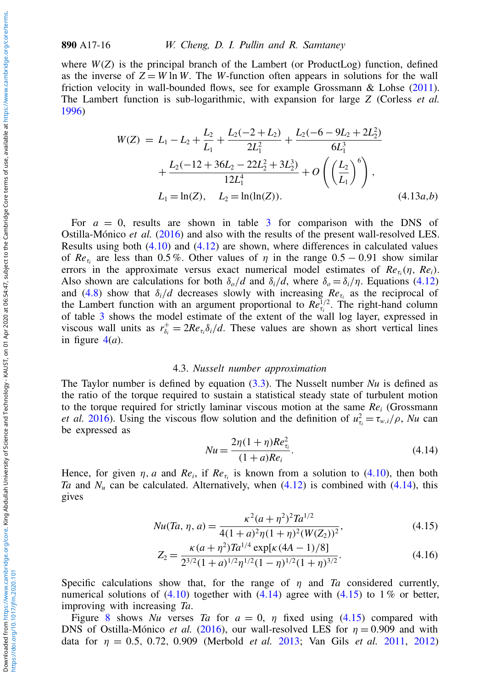where  $W(Z)$  is the principal branch of the Lambert (or ProductLog) function, defined as the inverse of  $Z = W \ln W$ . The *W*-function often appears in solutions for the wall friction velocity in wall-bounded flows, see for example Grossmann & Lohse [\(2011\)](#page-29-20). The Lambert function is sub-logarithmic, with expansion for large *Z* (Corless *et al.* [1996\)](#page-29-21)

<span id="page-15-2"></span>
$$
W(Z) = L_1 - L_2 + \frac{L_2}{L_1} + \frac{L_2(-2 + L_2)}{2L_1^2} + \frac{L_2(-6 - 9L_2 + 2L_2^2)}{6L_1^3} + \frac{L_2(-12 + 36L_2 - 22L_2^2 + 3L_2^3)}{12L_1^4} + O\left(\left(\frac{L_2}{L_1}\right)^6\right),
$$
  
\n
$$
L_1 = \ln(Z), \quad L_2 = \ln(\ln(Z)). \tag{4.13a,b}
$$

For  $a = 0$ , results are shown in table [3](#page-8-1) for comparison with the DNS of Ostilla-Mónico *et al.* [\(2016\)](#page-29-8) and also with the results of the present wall-resolved LES. Results using both [\(4.10\)](#page-14-0) and [\(4.12\)](#page-14-1) are shown, where differences in calculated values of  $Re_{\tau_i}$  are less than 0.5%. Other values of  $\eta$  in the range  $0.5 - 0.91$  show similar errors in the approximate versus exact numerical model estimates of  $Re_{\tau_i}(\eta, Re_i)$ . Also shown are calculations for both  $\delta_o/d$  and  $\delta_i/d$ , where  $\delta_o = \delta_i/\eta$ . Equations [\(4.12\)](#page-14-1) and [\(4.8\)](#page-13-4) show that  $\delta_i/d$  decreases slowly with increasing  $Re_{\tau_i}$  as the reciprocal of the Lambert function with an argument proportional to  $Re_{\tau_i}^{1/2}$ . The right-hand column of table [3](#page-8-1) shows the model estimate of the extent of the wall log layer, expressed in viscous wall units as  $r_{\delta_i}^+ = 2Re_{\tau_i} \delta_i/d$ . These values are shown as short vertical lines in figure  $4(a)$  $4(a)$ .

#### 4.3. *Nusselt number approximation*

The Taylor number is defined by equation [\(3.3\)](#page-5-0). The Nusselt number *Nu* is defined as the ratio of the torque required to sustain a statistical steady state of turbulent motion to the torque required for strictly laminar viscous motion at the same  $Re<sub>i</sub>$  (Grossmann *et al.* [2016\)](#page-29-1). Using the viscous flow solution and the definition of  $u_{\tau_i}^2 = \tau_{w,i}/\rho$ , *Nu* can be expressed as

<span id="page-15-0"></span>
$$
Nu = \frac{2\eta(1+\eta)Re_{\tau_i}^2}{(1+a)Re_i}.
$$
\n(4.14)

Hence, for given  $\eta$ , *a* and  $Re_i$ , if  $Re_{\tau_i}$  is known from a solution to [\(4.10\)](#page-14-0), then both *Ta* and  $N_u$  can be calculated. Alternatively, when  $(4.12)$  is combined with  $(4.14)$ , this gives

<span id="page-15-1"></span>
$$
Nu(Ta, \eta, a) = \frac{\kappa^2 (a + \eta^2)^2 T a^{1/2}}{4(1 + a)^2 \eta (1 + \eta)^2 (W(Z_2))^2},
$$
\n(4.15)

$$
Z_2 = \frac{\kappa (a + \eta^2) T a^{1/4} \exp[\kappa (4A - 1)/8]}{2^{3/2} (1 + a)^{1/2} \eta^{1/2} (1 - \eta)^{1/2} (1 + \eta)^{3/2}}.
$$
(4.16)

Specific calculations show that, for the range of  $\eta$  and  $Ta$  considered currently, numerical solutions of  $(4.10)$  together with  $(4.14)$  agree with  $(4.15)$  to 1% or better, improving with increasing *Ta*.

Figure [8](#page-16-0) shows *Nu* verses *Ta* for  $a = 0$ ,  $\eta$  fixed using [\(4.15\)](#page-15-1) compared with DNS of Ostilla-Mónico *et al.* [\(2016\)](#page-29-8), our wall-resolved LES for  $\eta = 0.909$  and with data for η = 0.5, 0.72, 0.909 (Merbold *et al.* [2013;](#page-29-7) Van Gils *et al.* [2011,](#page-30-1) [2012\)](#page-30-2)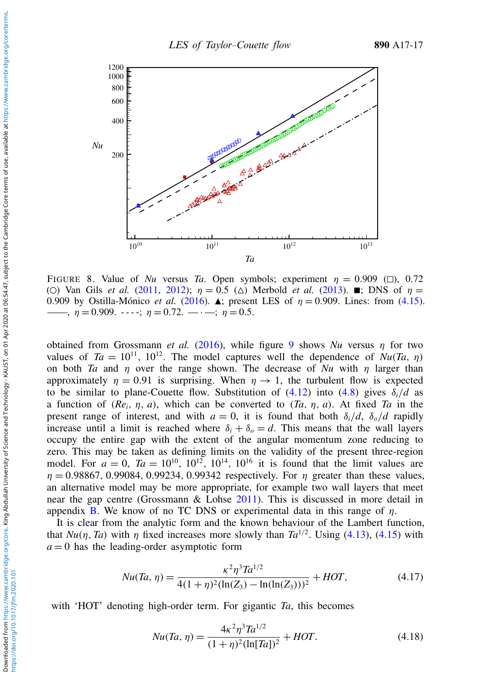<span id="page-16-0"></span>

FIGURE 8. Value of *Nu* versus *Ta*. Open symbols; experiment  $\eta = 0.909$  ( $\Box$ ), 0.72 (O) Van Gils *et al.* [\(2011,](#page-30-1) [2012\)](#page-30-2);  $\eta = 0.5$  ( $\Delta$ ) Merbold *et al.* [\(2013\)](#page-29-7). **a**; DNS of  $\eta =$ 0.909 by Ostilla-Mónico *et al.* [\(2016\)](#page-29-8).  $\blacktriangle$ ; present LES of  $\eta = 0.909$ . Lines: from [\(4.15\)](#page-15-1).  $\nu$ ,  $\eta = 0.909$ .  $\nu$  -  $\nu$ ;  $\eta = 0.72$ .  $\nu$   $\nu$   $\nu$   $\nu$   $\nu$  = 0.5.

obtained from Grossmann *et al.* [\(2016\)](#page-29-1), while figure [9](#page-17-0) shows  $Nu$  versus  $\eta$  for two values of  $Ta = 10^{11}$ ,  $10^{12}$ . The model captures well the dependence of  $Nu(Ta, \eta)$ on both *Ta* and  $\eta$  over the range shown. The decrease of *Nu* with  $\eta$  larger than approximately  $\eta = 0.91$  is surprising. When  $\eta \rightarrow 1$ , the turbulent flow is expected to be similar to plane-Couette flow. Substitution of  $(4.12)$  into  $(4.8)$  gives  $\delta_i/d$  as a function of (*Rei*, η, *a*), which can be converted to (*Ta*, η, *a*). At fixed *Ta* in the present range of interest, and with  $a = 0$ , it is found that both  $\delta_i/d$ ,  $\delta_o/d$  rapidly increase until a limit is reached where  $\delta_i + \delta_o = d$ . This means that the wall layers occupy the entire gap with the extent of the angular momentum zone reducing to zero. This may be taken as defining limits on the validity of the present three-region model. For  $a = 0$ ,  $Ta = 10^{10}$ ,  $10^{12}$ ,  $10^{14}$ ,  $10^{16}$  it is found that the limit values are  $\eta = 0.98867, 0.99084, 0.99234, 0.99342$  respectively. For  $\eta$  greater than these values, an alternative model may be more appropriate, for example two wall layers that meet near the gap centre (Grossmann & Lohse [2011\)](#page-29-20). This is discussed in more detail in appendix [B.](#page-27-0) We know of no TC DNS or experimental data in this range of  $\eta$ .

It is clear from the analytic form and the known behaviour of the Lambert function, that  $Nu(\eta, Ta)$  with  $\eta$  fixed increases more slowly than  $Ta^{1/2}$ . Using [\(4.13\)](#page-15-2), [\(4.15\)](#page-15-1) with  $a = 0$  has the leading-order asymptotic form

$$
Nu(Ta,\eta) = \frac{\kappa^2 \eta^3 T a^{1/2}}{4(1+\eta)^2 (\ln(Z_3) - \ln(\ln(Z_3)))^2} + HOT,\tag{4.17}
$$

with 'HOT' denoting high-order term. For gigantic *Ta*, this becomes

<span id="page-16-1"></span>
$$
Nu(Ta,\eta) = \frac{4\kappa^2 \eta^3 Ta^{1/2}}{(1+\eta)^2 (\ln[Ta])^2} + HOT.
$$
\n(4.18)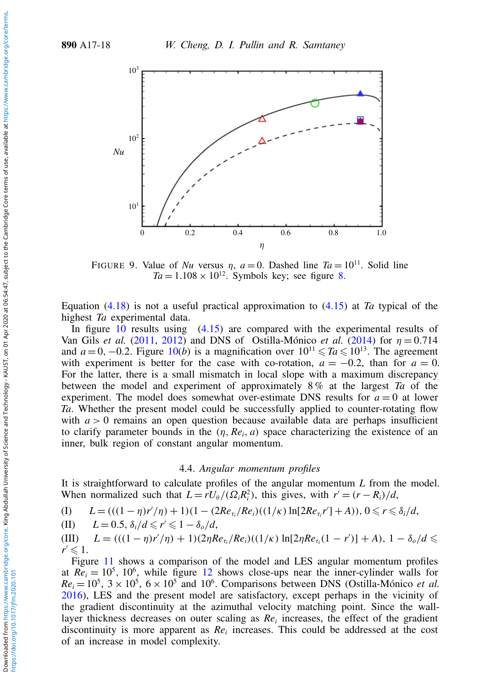<span id="page-17-0"></span>

FIGURE 9. Value of *Nu* versus  $\eta$ ,  $a = 0$ . Dashed line  $Ta = 10^{11}$ . Solid line  $Ta = 1.108 \times 10^{12}$ . Symbols key; see figure [8.](#page-16-0)

Equation [\(4.18\)](#page-16-1) is not a useful practical approximation to [\(4.15\)](#page-15-1) at *Ta* typical of the highest *Ta* experimental data.

In figure [10](#page-18-0) results using [\(4.15\)](#page-15-1) are compared with the experimental results of Van Gils *et al.* [\(2011,](#page-30-1) [2012\)](#page-30-2) and DNS of Ostilla-Mónico *et al.* [\(2014\)](#page-29-19) for η = 0.714 and  $a = 0, -0.2$ . Figure [10\(](#page-18-0)*b*) is a magnification over  $10^{11} \leq T a \leq 10^{13}$ . The agreement with experiment is better for the case with co-rotation,  $a = -0.2$ , than for  $a = 0$ . For the latter, there is a small mismatch in local slope with a maximum discrepancy between the model and experiment of approximately 8 % at the largest *Ta* of the experiment. The model does somewhat over-estimate DNS results for  $a = 0$  at lower *Ta*. Whether the present model could be successfully applied to counter-rotating flow with  $a > 0$  remains an open question because available data are perhaps insufficient to clarify parameter bounds in the  $(\eta, Re_i, a)$  space characterizing the existence of an inner, bulk region of constant angular momentum.

#### 4.4. *Angular momentum profiles*

It is straightforward to calculate profiles of the angular momentum *L* from the model. When normalized such that  $L = rU_{\theta}/(\Omega_i R_i^2)$ , this gives, with  $r' = (r - R_i)/d$ ,

(I)  $L = (((1 - \eta)r'/\eta) + 1)(1 - (2Re_{\tau_i}/Re_i)((1/\kappa) \ln[2Re_{\tau_i}r'] + A)), 0 \le r \le \delta_i/d,$ 

(II) 
$$
L = 0.5
$$
,  $\delta_i/d \leq r' \leq 1 - \delta_o/d$ ,

 $(L)$   $L = (((1 - \eta)r'/\eta) + 1)(2\eta Re_{\tau_i}/Re_i)((1/\kappa) \ln[2\eta Re_{\tau_i}(1 - r')] + A), 1 - \delta_o/d \le$  $r \leqslant 1$ .

Figure [11](#page-18-1) shows a comparison of the model and LES angular momentum profiles at  $Re_i = 10^5$ ,  $10^6$ , while figure [12](#page-19-0) shows close-ups near the inner-cylinder walls for  $Re_i = 10^5$ ,  $3 \times 10^5$ ,  $6 \times 10^5$  and  $10^6$ . Comparisons between DNS (Ostilla-Mónico *et al.*) [2016\)](#page-29-8), LES and the present model are satisfactory, except perhaps in the vicinity of the gradient discontinuity at the azimuthal velocity matching point. Since the walllayer thickness decreases on outer scaling as  $Re<sub>i</sub>$  increases, the effect of the gradient discontinuity is more apparent as  $Re<sub>i</sub>$  increases. This could be addressed at the cost of an increase in model complexity.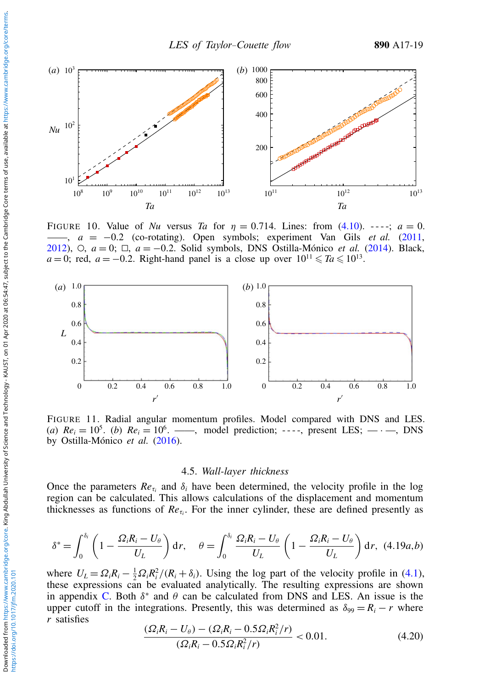<span id="page-18-0"></span>

FIGURE 10. Value of *Nu* versus *Ta* for  $\eta = 0.714$ . Lines: from [\(4.10\)](#page-14-0).  $-\cdot$   $\cdot$ ;  $a = 0$ . ——, *a* = −0.2 (co-rotating). Open symbols; experiment Van Gils *et al.* [\(2011,](#page-30-1) [2012\)](#page-30-2), E, *a* = 0; @, *a* = −0.2. Solid symbols, DNS Ostilla-Mónico *et al.* [\(2014\)](#page-29-19). Black,  $a = 0$ ; red,  $a = -0.2$ . Right-hand panel is a close up over  $10^{11} \leq T a \leq 10^{13}$ .

<span id="page-18-1"></span>

FIGURE 11. Radial angular momentum profiles. Model compared with DNS and LES. (*a*)  $Re_i = 10^5$ . (*b*)  $Re_i = 10^6$ . ——, model prediction; ----, present LES; — · —, DNS by Ostilla-Mónico *et al.* [\(2016\)](#page-29-8).

#### 4.5. *Wall-layer thickness*

Once the parameters  $Re_{\tau_i}$  and  $\delta_i$  have been determined, the velocity profile in the log region can be calculated. This allows calculations of the displacement and momentum thicknesses as functions of  $Re_{\tau_i}$ . For the inner cylinder, these are defined presently as

<span id="page-18-2"></span>
$$
\delta^* = \int_0^{\delta_i} \left(1 - \frac{\Omega_i R_i - U_\theta}{U_L}\right) dr, \quad \theta = \int_0^{\delta_i} \frac{\Omega_i R_i - U_\theta}{U_L} \left(1 - \frac{\Omega_i R_i - U_\theta}{U_L}\right) dr, \tag{4.19a,b}
$$

where  $U_L = \Omega_i R_i - \frac{1}{2} \Omega_i R_i^2 / (R_i + \delta_i)$ . Using the log part of the velocity profile in [\(4.1\)](#page-12-1), these expressions can be evaluated analytically. The resulting expressions are shown in appendix [C.](#page-27-1) Both  $\delta^*$  and  $\theta$  can be calculated from DNS and LES. An issue is the upper cutoff in the integrations. Presently, this was determined as  $\delta_{99} = R_i - r$  where *r* satisfies

$$
\frac{( \Omega_i R_i - U_\theta ) - ( \Omega_i R_i - 0.5 \Omega_i R_i^2 / r )}{( \Omega_i R_i - 0.5 \Omega_i R_i^2 / r )} < 0.01. \tag{4.20}
$$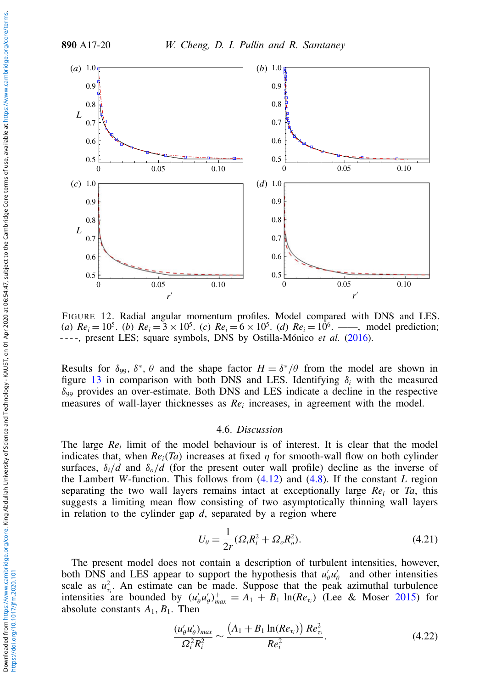<span id="page-19-0"></span>

FIGURE 12. Radial angular momentum profiles. Model compared with DNS and LES. (*a*)  $Re_i = 10^5$ . (*b*)  $Re_i = 3 \times 10^5$ . (*c*)  $Re_i = 6 \times 10^5$ . (*d*)  $Re_i = 10^6$ . ——, model prediction; ----, present LES; square symbols, DNS by Ostilla-Mónico *et al.* [\(2016\)](#page-29-8).

Results for  $\delta_{99}$ ,  $\delta^*$ ,  $\theta$  and the shape factor  $H = \delta^* / \theta$  from the model are shown in figure [13](#page-20-1) in comparison with both DNS and LES. Identifying  $\delta_i$  with the measured  $\delta_{99}$  provides an over-estimate. Both DNS and LES indicate a decline in the respective measures of wall-layer thicknesses as *Re<sup>i</sup>* increases, in agreement with the model.

#### 4.6. *Discussion*

The large *Re<sup>i</sup>* limit of the model behaviour is of interest. It is clear that the model indicates that, when  $Re<sub>i</sub>(Ta)$  increases at fixed  $\eta$  for smooth-wall flow on both cylinder surfaces,  $\delta_i/d$  and  $\delta_o/d$  (for the present outer wall profile) decline as the inverse of the Lambert *W*-function. This follows from [\(4.12\)](#page-14-1) and [\(4.8\)](#page-13-4). If the constant *L* region separating the two wall layers remains intact at exceptionally large *Re<sup>i</sup>* or *Ta*, this suggests a limiting mean flow consisting of two asymptotically thinning wall layers in relation to the cylinder gap *d*, separated by a region where

<span id="page-19-1"></span>
$$
U_{\theta} = \frac{1}{2r} (\Omega_i R_i^2 + \Omega_o R_o^2).
$$
 (4.21)

The present model does not contain a description of turbulent intensities, however, both DNS and LES appear to support the hypothesis that  $u'_\theta u'_\theta$  and other intensities scale as  $u_{\tau_i}^2$ . An estimate can be made. Suppose that the peak azimuthal turbulence intensities are bounded by  $(u'_\theta u'_\theta)_{max}^+ = A_1 + B_1 \ln(Re_{\tau_i})$  (Lee & Moser [2015\)](#page-29-14) for absolute constants  $A_1, B_1$ . Then

$$
\frac{(u'_{\theta}u'_{\theta})_{max}}{\Omega_i^2 R_i^2} \sim \frac{\left(A_1 + B_1 \ln(Re_{\tau_i})\right) Re_{\tau_i}^2}{Re_i^2}.
$$
\n(4.22)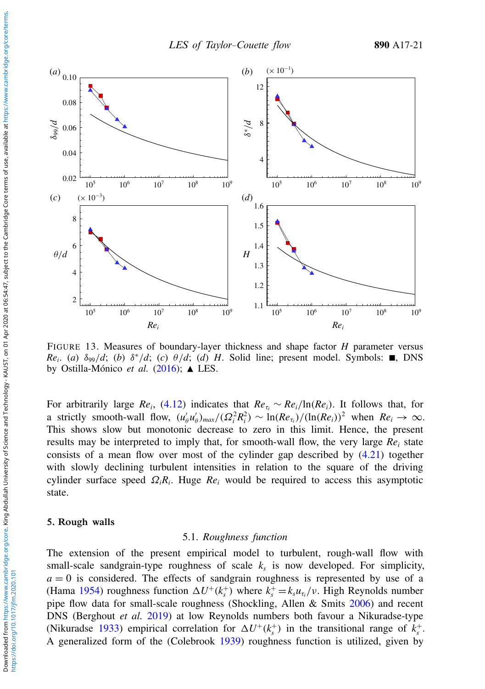<span id="page-20-1"></span>

FIGURE 13. Measures of boundary-layer thickness and shape factor *H* parameter versus  $Re_i$ . (*a*)  $\delta_{99}/d$ ; (*b*)  $\delta^*/d$ ; (*c*)  $\theta/d$ ; (*d*) *H*. Solid line; present model. Symbols: **n**, DNS by Ostilla-Mónico *et al.* [\(2016\)](#page-29-8); **▲** LES.

For arbitrarily large *Re<sub>i</sub>*, [\(4.12\)](#page-14-1) indicates that  $Re_{\tau_i} \sim Re_i/ln(Re_i)$ . It follows that, for a strictly smooth-wall flow,  $(u'_\theta u'_\theta)_{max}/(\Omega_i^2 R_i^2) \sim \ln(Re_{\tau_i})/(\ln(Re_i))^2$  when  $Re_i \to \infty$ . This shows slow but monotonic decrease to zero in this limit. Hence, the present results may be interpreted to imply that, for smooth-wall flow, the very large  $Re<sub>i</sub>$  state consists of a mean flow over most of the cylinder gap described by [\(4.21\)](#page-19-1) together with slowly declining turbulent intensities in relation to the square of the driving cylinder surface speed Ω*iR<sup>i</sup>* . Huge *Re<sup>i</sup>* would be required to access this asymptotic state.

#### <span id="page-20-0"></span>5. Rough walls

# 5.1. *Roughness function*

The extension of the present empirical model to turbulent, rough-wall flow with small-scale sandgrain-type roughness of scale *k<sup>s</sup>* is now developed. For simplicity,  $a = 0$  is considered. The effects of sandgrain roughness is represented by use of a (Hama [1954\)](#page-29-22) roughness function  $\Delta U^+(k_s^+)$  where  $k_s^+ = k_s u_{\tau_i}/v$ . High Reynolds number pipe flow data for small-scale roughness (Shockling, Allen & Smits [2006\)](#page-29-23) and recent DNS (Berghout *et al.* [2019\)](#page-28-6) at low Reynolds numbers both favour a Nikuradse-type (Nikuradse [1933\)](#page-29-24) empirical correlation for  $\Delta U^+(k_s^+)$  in the transitional range of  $k_s^+$ . A generalized form of the (Colebrook [1939\)](#page-28-7) roughness function is utilized, given by

https://doi.org/10.1017/jfm.2020.101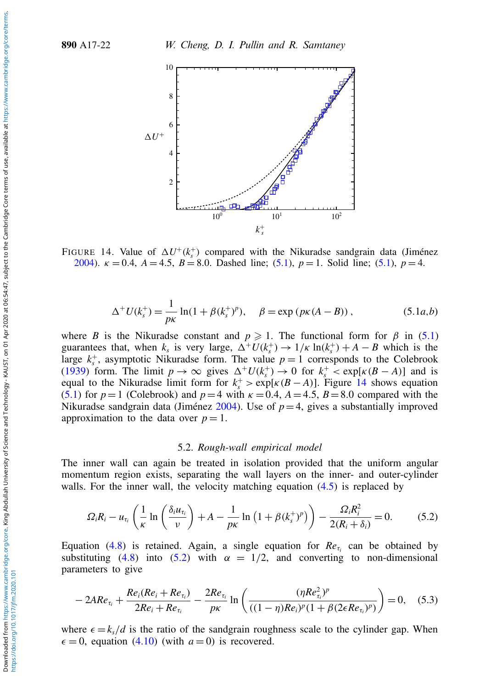<span id="page-21-1"></span>

FIGURE 14. Value of  $\Delta U^+(k_s^+)$  compared with the Nikuradse sandgrain data (Jiménez [2004\)](#page-29-25). κ = 0.4, *A* = 4.5, *B* = 8.0. Dashed line; [\(5.1\)](#page-21-0), *p* = 1. Solid line; [\(5.1\)](#page-21-0), *p* = 4.

<span id="page-21-0"></span>
$$
\Delta^+ U(k_s^+) = \frac{1}{p\kappa} \ln(1 + \beta(k_s^+)^p), \quad \beta = \exp\left(p\kappa(A - B)\right), \tag{5.1a,b}
$$

where *B* is the Nikuradse constant and  $p \ge 1$ . The functional form for  $\beta$  in [\(5.1\)](#page-21-0) guarantees that, when  $k_s$  is very large,  $\Delta^+ U(k_s^+) \to 1/\kappa \ln(k_s^+) + A - B$  which is the large  $k_s^+$ , asymptotic Nikuradse form. The value  $p = 1$  corresponds to the Colebrook [\(1939\)](#page-28-7) form. The limit  $p \to \infty$  gives  $\Delta^+ U(k_s^+) \to 0$  for  $k_s^+ < \exp[\kappa (B - A)]$  and is equal to the Nikuradse limit form for  $k_s^+$  >  $\exp[\kappa(B-A)]$ . Figure [14](#page-21-1) shows equation [\(5.1\)](#page-21-0) for  $p=1$  (Colebrook) and  $p=4$  with  $\kappa = 0.4$ ,  $A=4.5$ ,  $B=8.0$  compared with the Nikuradse sandgrain data (Jiménez [2004\)](#page-29-25). Use of  $p=4$ , gives a substantially improved approximation to the data over  $p = 1$ .

#### 5.2. *Rough-wall empirical model*

The inner wall can again be treated in isolation provided that the uniform angular momentum region exists, separating the wall layers on the inner- and outer-cylinder walls. For the inner wall, the velocity matching equation  $(4.5)$  is replaced by

<span id="page-21-2"></span>
$$
\Omega_i R_i - u_{\tau_i} \left( \frac{1}{\kappa} \ln \left( \frac{\delta_i u_{\tau_i}}{\nu} \right) + A - \frac{1}{p \kappa} \ln \left( 1 + \beta (k_s^+)^p \right) \right) - \frac{\Omega_i R_i^2}{2(R_i + \delta_i)} = 0. \tag{5.2}
$$

Equation [\(4.8\)](#page-13-4) is retained. Again, a single equation for  $Re_{\tau_i}$  can be obtained by substituting [\(4.8\)](#page-13-4) into [\(5.2\)](#page-21-2) with  $\alpha = 1/2$ , and converting to non-dimensional parameters to give

<span id="page-21-3"></span>
$$
-2ARe_{\tau_i} + \frac{Re_i(Re_i + Re_{\tau_i})}{2Re_i + Re_{\tau_i}} - \frac{2Re_{\tau_i}}{p\kappa} \ln\left(\frac{(\eta Re_{\tau_i}^2)^p}{((1-\eta)Re_i)^p(1+\beta(2\epsilon Re_{\tau_i})^p)}\right) = 0, \quad (5.3)
$$

where  $\epsilon = k_s/d$  is the ratio of the sandgrain roughness scale to the cylinder gap. When  $\epsilon = 0$ , equation [\(4.10\)](#page-14-0) (with  $a = 0$ ) is recovered.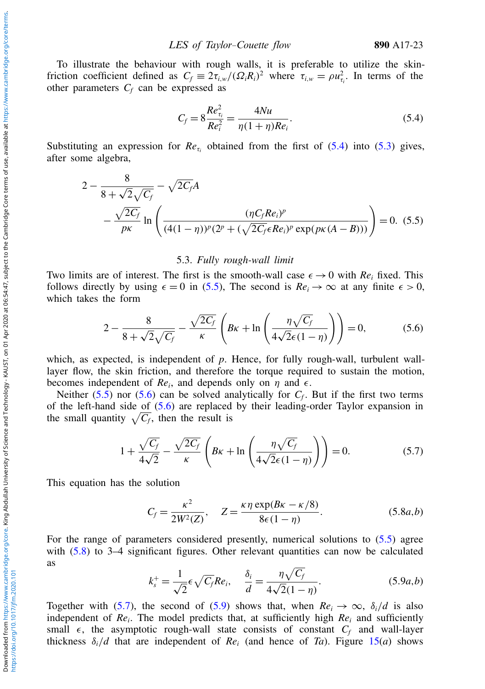To illustrate the behaviour with rough walls, it is preferable to utilize the skinfriction coefficient defined as  $C_f \equiv 2\tau_{i,w}/(\Omega_i R_i)^2$  where  $\tau_{i,w} = \rho u_{\tau_i}^2$ . In terms of the other parameters  $C_f$  can be expressed as

<span id="page-22-0"></span>
$$
C_f = 8 \frac{Re_{\tau_i}^2}{Re_i^2} = \frac{4Nu}{\eta(1+\eta)Re_i}.
$$
\n(5.4)

Substituting an expression for  $Re_{\tau_i}$  obtained from the first of [\(5.4\)](#page-22-0) into [\(5.3\)](#page-21-3) gives, after some algebra,

<span id="page-22-1"></span>
$$
2 - \frac{8}{8 + \sqrt{2}\sqrt{C_f}} - \sqrt{2C_f}A
$$
  
 
$$
- \frac{\sqrt{2C_f}}{p\kappa} \ln \left( \frac{(\eta C_f Re_i)^p}{(4(1 - \eta))^p (2^p + (\sqrt{2C_f} \epsilon Re_i)^p \exp(p\kappa(A - B)))} \right) = 0.
$$
 (5.5)

#### 5.3. *Fully rough-wall limit*

Two limits are of interest. The first is the smooth-wall case  $\epsilon \to 0$  with  $Re_i$  fixed. This follows directly by using  $\epsilon = 0$  in [\(5.5\)](#page-22-1), The second is  $Re_i \rightarrow \infty$  at any finite  $\epsilon > 0$ , which takes the form

<span id="page-22-2"></span>
$$
2 - \frac{8}{8 + \sqrt{2}\sqrt{C_f}} - \frac{\sqrt{2C_f}}{\kappa} \left( B\kappa + \ln\left(\frac{\eta\sqrt{C_f}}{4\sqrt{2}\epsilon(1-\eta)}\right) \right) = 0,\tag{5.6}
$$

which, as expected, is independent of *p*. Hence, for fully rough-wall, turbulent walllayer flow, the skin friction, and therefore the torque required to sustain the motion, becomes independent of  $Re_i$ , and depends only on  $\eta$  and  $\epsilon$ .

Neither  $(5.5)$  nor  $(5.6)$  can be solved analytically for  $C_f$ . But if the first two terms of the left-hand side of [\(5.6\)](#page-22-2) are replaced by their leading-order Taylor expansion in the small quantity  $\sqrt{C_f}$ , then the result is

<span id="page-22-4"></span>
$$
1 + \frac{\sqrt{C_f}}{4\sqrt{2}} - \frac{\sqrt{2C_f}}{\kappa} \left( B\kappa + \ln\left(\frac{\eta\sqrt{C_f}}{4\sqrt{2}\epsilon(1-\eta)}\right) \right) = 0. \tag{5.7}
$$

This equation has the solution

<span id="page-22-3"></span>
$$
C_f = \frac{\kappa^2}{2W^2(Z)}, \quad Z = \frac{\kappa \eta \exp(B\kappa - \kappa/8)}{8\epsilon(1 - \eta)}.\tag{5.8a,b}
$$

For the range of parameters considered presently, numerical solutions to [\(5.5\)](#page-22-1) agree with  $(5.8)$  to 3–4 significant figures. Other relevant quantities can now be calculated as

<span id="page-22-5"></span>
$$
k_s^+ = \frac{1}{\sqrt{2}} \epsilon \sqrt{C_f} Re_i, \quad \frac{\delta_i}{d} = \frac{\eta \sqrt{C_f}}{4\sqrt{2}(1-\eta)}.
$$
 (5.9*a*,*b*)

Together with [\(5.7\)](#page-22-4), the second of [\(5.9\)](#page-22-5) shows that, when  $Re_i \rightarrow \infty$ ,  $\delta_i/d$  is also independent of *Re<sup>i</sup>* . The model predicts that, at sufficiently high *Re<sup>i</sup>* and sufficiently small  $\epsilon$ , the asymptotic rough-wall state consists of constant  $C_f$  and wall-layer thickness  $\delta_i/d$  that are independent of *Re*<sub>*i*</sub> (and hence of *Ta*). Figure [15\(](#page-23-0)*a*) shows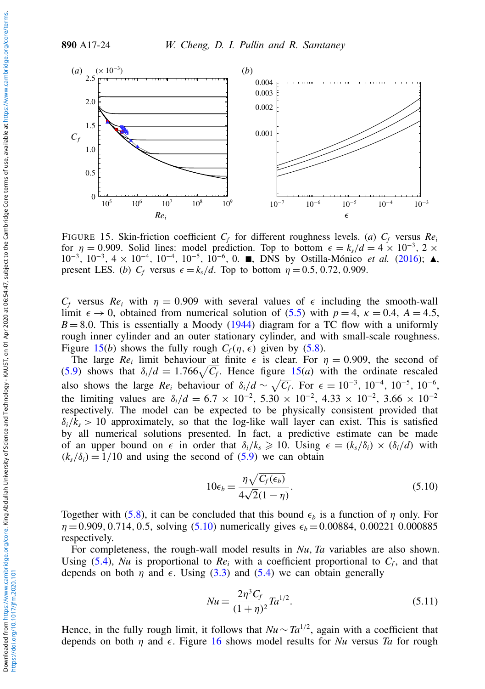<span id="page-23-0"></span>

FIGURE 15. Skin-friction coefficient  $C_f$  for different roughness levels. (*a*)  $C_f$  versus  $Re_i$ for  $\eta = 0.909$ . Solid lines: model prediction. Top to bottom  $\epsilon = k_s/d = 4 \times 10^{-3}$ , 2 × 10<sup>-3</sup>, 10<sup>-3</sup>, 4 × 10<sup>-4</sup>, 10<sup>-4</sup>, 10<sup>-5</sup>, 10<sup>-6</sup>, 0. ■, DNS by Ostilla-Mónico *et al.* [\(2016\)](#page-29-8); ▲, present LES. (*b*)  $C_f$  versus  $\epsilon = k_s/d$ . Top to bottom  $\eta = 0.5, 0.72, 0.909$ .

 $C_f$  versus  $Re_i$  with  $\eta = 0.909$  with several values of  $\epsilon$  including the smooth-wall limit  $\epsilon \to 0$ , obtained from numerical solution of [\(5.5\)](#page-22-1) with  $p = 4$ ,  $\kappa = 0.4$ ,  $A = 4.5$ ,  $B = 8.0$ . This is essentially a Moody [\(1944\)](#page-29-26) diagram for a TC flow with a uniformly rough inner cylinder and an outer stationary cylinder, and with small-scale roughness. Figure [15\(](#page-23-0)*b*) shows the fully rough  $C_f(\eta, \epsilon)$  given by [\(5.8\)](#page-22-3).

The large  $Re_i$  limit behaviour at finite  $\epsilon$  is clear. For  $\eta = 0.909$ , the second of [\(5.9\)](#page-22-5) shows that  $\delta_i/d = 1.766\sqrt{C_f}$ . Hence figure [15\(](#page-23-0)*a*) with the ordinate rescaled also shows the large  $Re_i$  behaviour of  $\delta_i/d \sim \sqrt{C_f}$ . For  $\epsilon = 10^{-3}$ ,  $10^{-4}$ ,  $10^{-5}$ ,  $10^{-6}$ , the limiting values are  $\delta_i/d = 6.7 \times 10^{-2}$ ,  $5.30 \times 10^{-2}$ ,  $4.33 \times 10^{-2}$ ,  $3.66 \times 10^{-2}$ respectively. The model can be expected to be physically consistent provided that  $\delta_i/k_s > 10$  approximately, so that the log-like wall layer can exist. This is satisfied by all numerical solutions presented. In fact, a predictive estimate can be made of an upper bound on  $\epsilon$  in order that  $\delta_i/k_s \geq 10$ . Using  $\epsilon = (k_s/\delta_i) \times (\delta_i/d)$  with  $(k_s/\delta_i) = 1/10$  and using the second of [\(5.9\)](#page-22-5) we can obtain

<span id="page-23-1"></span>
$$
10\epsilon_b = \frac{\eta \sqrt{C_f(\epsilon_b)}}{4\sqrt{2}(1-\eta)}.\tag{5.10}
$$

Together with [\(5.8\)](#page-22-3), it can be concluded that this bound  $\epsilon_b$  is a function of  $\eta$  only. For  $\eta = 0.909, 0.714, 0.5,$  solving [\(5.10\)](#page-23-1) numerically gives  $\epsilon_b = 0.00884, 0.00221, 0.000885$ respectively.

For completeness, the rough-wall model results in *Nu*, *Ta* variables are also shown. Using [\(5.4\)](#page-22-0), *Nu* is proportional to  $Re<sub>i</sub>$  with a coefficient proportional to  $C<sub>f</sub>$ , and that depends on both  $\eta$  and  $\epsilon$ . Using [\(3.3\)](#page-5-0) and [\(5.4\)](#page-22-0) we can obtain generally

$$
Nu = \frac{2\eta^3 C_f}{(1+\eta)^2} Ta^{1/2}.
$$
\n(5.11)

Hence, in the fully rough limit, it follows that  $Nu \sim Ta^{1/2}$ , again with a coefficient that depends on both  $\eta$  and  $\epsilon$ . Figure [16](#page-24-1) shows model results for *Nu* versus *Ta* for rough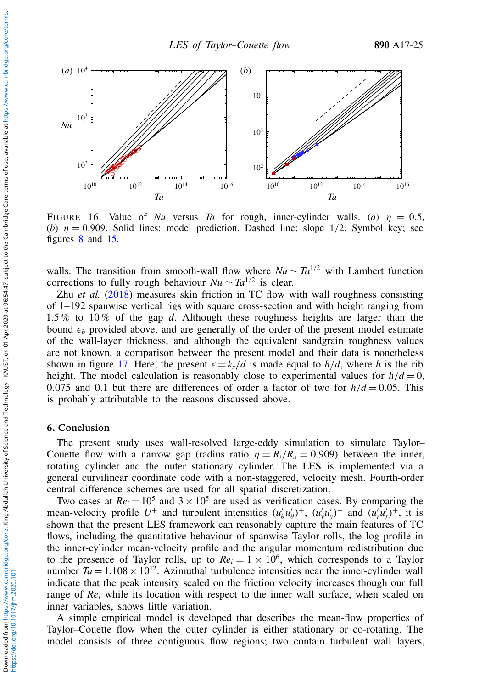<span id="page-24-1"></span>

FIGURE 16. Value of *Nu* versus *Ta* for rough, inner-cylinder walls. (*a*)  $\eta = 0.5$ , (*b*)  $\eta = 0.909$ . Solid lines: model prediction. Dashed line; slope 1/2. Symbol key; see figures [8](#page-16-0) and [15.](#page-23-0)

walls. The transition from smooth-wall flow where  $Nu \sim Ta^{1/2}$  with Lambert function corrections to fully rough behaviour  $Nu \sim Ta^{1/2}$  is clear.

Zhu *et al.* [\(2018\)](#page-30-9) measures skin friction in TC flow with wall roughness consisting of 1–192 spanwise vertical rigs with square cross-section and with height ranging from 1.5 % to 10 % of the gap *d*. Although these roughness heights are larger than the bound  $\epsilon_b$  provided above, and are generally of the order of the present model estimate of the wall-layer thickness, and although the equivalent sandgrain roughness values are not known, a comparison between the present model and their data is nonetheless shown in figure [17.](#page-25-0) Here, the present  $\epsilon = k_s/d$  is made equal to  $h/d$ , where *h* is the rib height. The model calculation is reasonably close to experimental values for  $h/d = 0$ , 0.075 and 0.1 but there are differences of order a factor of two for  $h/d = 0.05$ . This is probably attributable to the reasons discussed above.

#### <span id="page-24-0"></span>6. Conclusion

The present study uses wall-resolved large-eddy simulation to simulate Taylor– Couette flow with a narrow gap (radius ratio  $\eta = R_i/R_o = 0.909$ ) between the inner, rotating cylinder and the outer stationary cylinder. The LES is implemented via a general curvilinear coordinate code with a non-staggered, velocity mesh. Fourth-order central difference schemes are used for all spatial discretization.

Two cases at  $Re_i = 10^5$  and  $3 \times 10^5$  are used as verification cases. By comparing the mean-velocity profile  $U^+$  and turbulent intensities  $(u'_\theta u'_\theta)^+$ ,  $(u'_y u'_y)^+$  and  $(u'_r u'_r)^+$ , it is shown that the present LES framework can reasonably capture the main features of TC flows, including the quantitative behaviour of spanwise Taylor rolls, the log profile in the inner-cylinder mean-velocity profile and the angular momentum redistribution due to the presence of Taylor rolls, up to  $Re_i = 1 \times 10^6$ , which corresponds to a Taylor number  $Ta = 1.108 \times 10^{12}$ . Azimuthal turbulence intensities near the inner-cylinder wall indicate that the peak intensity scaled on the friction velocity increases though our full range of *Re<sup>i</sup>* while its location with respect to the inner wall surface, when scaled on inner variables, shows little variation.

A simple empirical model is developed that describes the mean-flow properties of Taylor–Couette flow when the outer cylinder is either stationary or co-rotating. The model consists of three contiguous flow regions; two contain turbulent wall layers,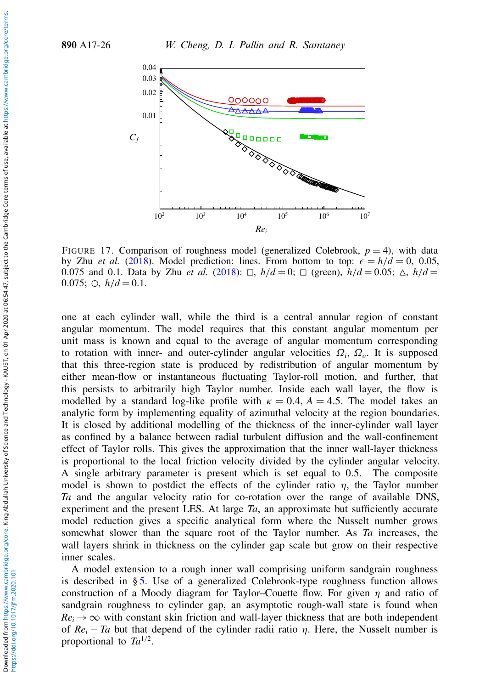<span id="page-25-0"></span>

FIGURE 17. Comparison of roughness model (generalized Colebrook,  $p = 4$ ), with data by Zhu *et al.* [\(2018\)](#page-30-9). Model prediction: lines. From bottom to top:  $\epsilon = h/d = 0$ , 0.05, 0.075 and 0.1. Data by Zhu *et al.* [\(2018\)](#page-30-9):  $\Box$ ,  $h/d = 0$ ;  $\Box$  (green),  $h/d = 0.05$ ;  $\triangle$ ,  $h/d =$ 0.075;  $\bigcirc$ ,  $h/d = 0.1$ .

one at each cylinder wall, while the third is a central annular region of constant angular momentum. The model requires that this constant angular momentum per unit mass is known and equal to the average of angular momentum corresponding to rotation with inner- and outer-cylinder angular velocities  $\Omega_i$ ,  $\Omega_o$ . It is supposed that this three-region state is produced by redistribution of angular momentum by either mean-flow or instantaneous fluctuating Taylor-roll motion, and further, that this persists to arbitrarily high Taylor number. Inside each wall layer, the flow is modelled by a standard log-like profile with  $\kappa = 0.4$ ,  $A = 4.5$ . The model takes an analytic form by implementing equality of azimuthal velocity at the region boundaries. It is closed by additional modelling of the thickness of the inner-cylinder wall layer as confined by a balance between radial turbulent diffusion and the wall-confinement effect of Taylor rolls. This gives the approximation that the inner wall-layer thickness is proportional to the local friction velocity divided by the cylinder angular velocity. A single arbitrary parameter is present which is set equal to 0.5. The composite model is shown to postdict the effects of the cylinder ratio  $\eta$ , the Taylor number *Ta* and the angular velocity ratio for co-rotation over the range of available DNS, experiment and the present LES. At large *Ta*, an approximate but sufficiently accurate model reduction gives a specific analytical form where the Nusselt number grows somewhat slower than the square root of the Taylor number. As *Ta* increases, the wall layers shrink in thickness on the cylinder gap scale but grow on their respective inner scales.

A model extension to a rough inner wall comprising uniform sandgrain roughness is described in § [5.](#page-20-0) Use of a generalized Colebrook-type roughness function allows construction of a Moody diagram for Taylor–Couette flow. For given  $\eta$  and ratio of sandgrain roughness to cylinder gap, an asymptotic rough-wall state is found when  $Re_i \rightarrow \infty$  with constant skin friction and wall-layer thickness that are both independent of  $Re_i - Ta$  but that depend of the cylinder radii ratio  $\eta$ . Here, the Nusselt number is proportional to  $Ta^{1/2}$ .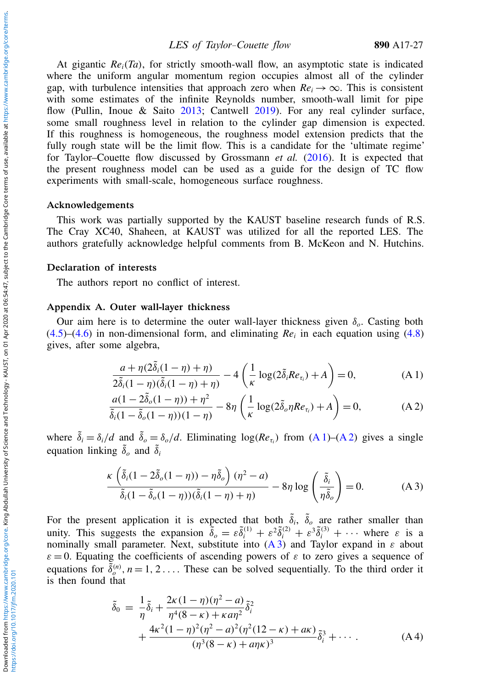At gigantic  $Re_i(T_a)$ , for strictly smooth-wall flow, an asymptotic state is indicated where the uniform angular momentum region occupies almost all of the cylinder gap, with turbulence intensities that approach zero when  $Re_i \rightarrow \infty$ . This is consistent with some estimates of the infinite Reynolds number, smooth-wall limit for pipe flow (Pullin, Inoue & Saito [2013;](#page-29-27) Cantwell [2019\)](#page-28-8). For any real cylinder surface, some small roughness level in relation to the cylinder gap dimension is expected. If this roughness is homogeneous, the roughness model extension predicts that the fully rough state will be the limit flow. This is a candidate for the 'ultimate regime' for Taylor–Couette flow discussed by Grossmann *et al.* [\(2016\)](#page-29-1). It is expected that the present roughness model can be used as a guide for the design of TC flow experiments with small-scale, homogeneous surface roughness.

#### Acknowledgements

This work was partially supported by the KAUST baseline research funds of R.S. The Cray XC40, Shaheen, at KAUST was utilized for all the reported LES. The authors gratefully acknowledge helpful comments from B. McKeon and N. Hutchins.

#### Declaration of interests

The authors report no conflict of interest.

#### <span id="page-26-0"></span>Appendix A. Outer wall-layer thickness

Our aim here is to determine the outer wall-layer thickness given δ*o*. Casting both  $(4.5)$ – $(4.6)$  in non-dimensional form, and eliminating  $Re<sub>i</sub>$  in each equation using  $(4.8)$ gives, after some algebra,

<span id="page-26-1"></span>
$$
\frac{a + \eta(2\tilde{\delta}_i(1-\eta) + \eta)}{2\tilde{\delta}_i(1-\eta)(\tilde{\delta}_i(1-\eta) + \eta)} - 4\left(\frac{1}{\kappa}\log(2\tilde{\delta}_i Re_{\tau_i}) + A\right) = 0,
$$
\n(A1)

<span id="page-26-2"></span>
$$
\frac{a(1-2\tilde{\delta}_{o}(1-\eta)) + \eta^2}{\tilde{\delta}_{i}(1-\tilde{\delta}_{o}(1-\eta))(1-\eta)} - 8\eta \left(\frac{1}{\kappa}\log(2\tilde{\delta}_{o}\eta Re_{\tau_{i}}) + A\right) = 0, \tag{A.2}
$$

where  $\tilde{\delta}_i = \delta_i/d$  and  $\tilde{\delta}_o = \delta_o/d$ . Eliminating  $\log(Re_{\tau_i})$  from  $(A 1)$ – $(A 2)$  gives a single equation linking  $\tilde{\delta}_o$  and  $\tilde{\delta}_i$ 

<span id="page-26-3"></span>
$$
\frac{\kappa \left(\tilde{\delta}_i(1 - 2\tilde{\delta}_o(1 - \eta)) - \eta \tilde{\delta}_o\right)(\eta^2 - a)}{\tilde{\delta}_i(1 - \tilde{\delta}_o(1 - \eta))(\tilde{\delta}_i(1 - \eta) + \eta)} - 8\eta \log\left(\frac{\tilde{\delta}_i}{\eta \tilde{\delta}_o}\right) = 0.
$$
 (A 3)

For the present application it is expected that both  $\tilde{\delta}_i$ ,  $\tilde{\delta}_o$  are rather smaller than unity. This suggests the expansion  $\tilde{\delta}_o = \varepsilon \tilde{\delta}_i^{(1)} + \varepsilon^2 \tilde{\delta}_i^{(2)} + \varepsilon^3 \tilde{\delta}_i^{(3)} + \cdots$  where  $\varepsilon$  is a nominally small parameter. Next, substitute into  $(A3)$  and Taylor expand in  $\varepsilon$  about  $\varepsilon = 0$ . Equating the coefficients of ascending powers of  $\varepsilon$  to zero gives a sequence of equations for  $\overline{\tilde{\delta}}_o^{(n)}$ ,  $n = 1, 2, \ldots$ . These can be solved sequentially. To the third order it is then found that

<span id="page-26-4"></span>
$$
\begin{split} \tilde{\delta}_{0} &= \frac{1}{\eta} \tilde{\delta}_{i} + \frac{2\kappa (1 - \eta)(\eta^{2} - a)}{\eta^{4} (8 - \kappa) + \kappa a \eta^{2}} \tilde{\delta}_{i}^{2} \\ &+ \frac{4\kappa^{2} (1 - \eta)^{2} (\eta^{2} - a)^{2} (\eta^{2} (12 - \kappa) + a\kappa)}{(\eta^{3} (8 - \kappa) + a\eta \kappa)^{3}} \tilde{\delta}_{i}^{3} + \cdots. \end{split} \tag{A4}
$$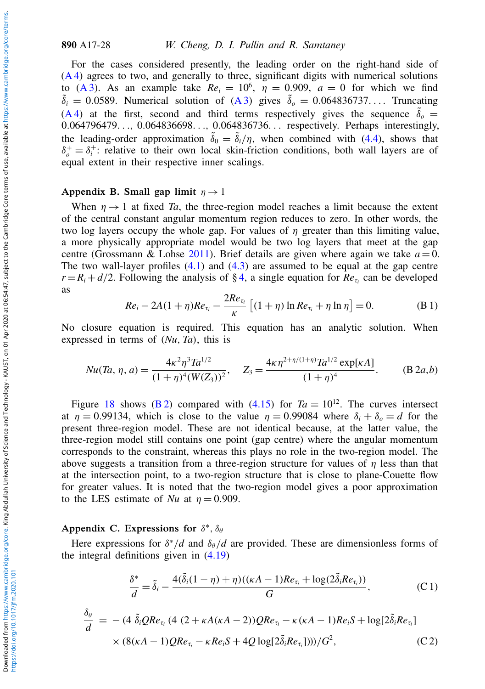For the cases considered presently, the leading order on the right-hand side of [\(A 4\)](#page-26-4) agrees to two, and generally to three, significant digits with numerical solutions to [\(A 3\)](#page-26-3). As an example take  $Re_i = 10^6$ ,  $\eta = 0.909$ ,  $a = 0$  for which we find  $\tilde{\delta}_i = 0.0589$ . Numerical solution of [\(A 3\)](#page-26-3) gives  $\tilde{\delta}_o = 0.064836737...$  Truncating [\(A 4\)](#page-26-4) at the first, second and third terms respectively gives the sequence  $\tilde{\delta}_o$  = 0.064796479. . ., 0.064836698. . ., 0.064836736. . . respectively. Perhaps interestingly, the leading-order approximation  $\tilde{\delta}_0 = \tilde{\delta}_i/\eta$ , when combined with [\(4.4\)](#page-13-0), shows that  $\delta_{\rho}^{+} = \delta_{i}^{+}$ : relative to their own local skin-friction conditions, both wall layers are of equal extent in their respective inner scalings.

#### <span id="page-27-0"></span>Appendix B. Small gap limit  $\eta \rightarrow 1$

When  $\eta \rightarrow 1$  at fixed *Ta*, the three-region model reaches a limit because the extent of the central constant angular momentum region reduces to zero. In other words, the two log layers occupy the whole gap. For values of  $\eta$  greater than this limiting value, a more physically appropriate model would be two log layers that meet at the gap centre (Grossmann & Lohse [2011\)](#page-29-20). Brief details are given where again we take  $a = 0$ . The two wall-layer profiles  $(4.1)$  and  $(4.3)$  are assumed to be equal at the gap centre  $r = R_i + d/2$ . Following the analysis of § [4,](#page-12-0) a single equation for  $Re_{\tau_i}$  can be developed as

$$
Re_i - 2A(1 + \eta)Re_{\tau_i} - \frac{2Re_{\tau_i}}{\kappa} \left[ (1 + \eta) \ln Re_{\tau_i} + \eta \ln \eta \right] = 0.
$$
 (B 1)

No closure equation is required. This equation has an analytic solution. When expressed in terms of (*Nu*, *Ta*), this is

<span id="page-27-2"></span>
$$
Nu(Ta,\eta,a) = \frac{4\kappa^2 \eta^3 Ta^{1/2}}{(1+\eta)^4 (W(Z_3))^2}, \quad Z_3 = \frac{4\kappa \eta^{2+\eta/(1+\eta)} Ta^{1/2} \exp[\kappa A]}{(1+\eta)^4}.
$$
 (B 2*a*,*b*)

Figure [18](#page-28-9) shows [\(B 2\)](#page-27-2) compared with  $(4.15)$  for  $Ta = 10^{12}$ . The curves intersect at  $\eta = 0.99134$ , which is close to the value  $\eta = 0.99084$  where  $\delta_i + \delta_o = d$  for the present three-region model. These are not identical because, at the latter value, the three-region model still contains one point (gap centre) where the angular momentum corresponds to the constraint, whereas this plays no role in the two-region model. The above suggests a transition from a three-region structure for values of  $\eta$  less than that at the intersection point, to a two-region structure that is close to plane-Couette flow for greater values. It is noted that the two-region model gives a poor approximation to the LES estimate of *Nu* at  $\eta = 0.909$ .

# <span id="page-27-1"></span>Appendix C. Expressions for  $\delta^*$ ,  $\delta_\theta$

Here expressions for  $\delta^*/d$  and  $\delta_\theta/d$  are provided. These are dimensionless forms of the integral definitions given in [\(4.19\)](#page-18-2)

$$
\frac{\delta^*}{d} = \tilde{\delta}_i - \frac{4(\tilde{\delta}_i(1-\eta) + \eta)((\kappa A - 1)Re_{\tau_i} + \log(2\tilde{\delta}_i Re_{\tau_i}))}{G},
$$
\n(C1)  
\n
$$
\frac{\delta_\theta}{d} = -(4\tilde{\delta}_i Q Re_{\tau_i} (4(2 + \kappa A(\kappa A - 2)) Q Re_{\tau_i} - \kappa (\kappa A - 1)Re_i S + \log[2\tilde{\delta}_i Re_{\tau_i}]
$$
\n
$$
\times (8(\kappa A - 1) Q Re_{\tau_i} - \kappa Re_i S + 4Q \log[2\tilde{\delta}_i Re_{\tau_i}]))/G^2,
$$
\n(C2)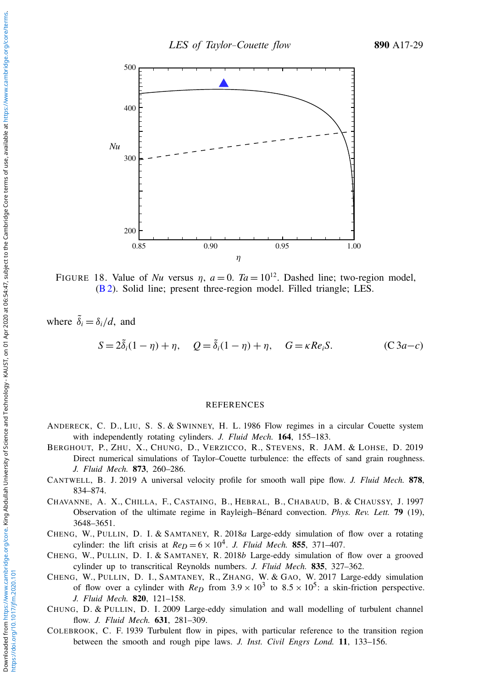<span id="page-28-9"></span>

FIGURE 18. Value of *Nu* versus  $\eta$ ,  $a = 0$ .  $Ta = 10^{12}$ . Dashed line; two-region model, [\(B 2\)](#page-27-2). Solid line; present three-region model. Filled triangle; LES.

where  $\tilde{\delta}_i = \delta_i/d$ , and

$$
S = 2\tilde{\delta}_i(1-\eta) + \eta, \quad Q = \tilde{\delta}_i(1-\eta) + \eta, \quad G = \kappa Re_i S. \tag{C3a-c}
$$

#### REFERENCES

- <span id="page-28-0"></span>ANDERECK, C. D., LIU, S. S. & SWINNEY, H. L. 1986 Flow regimes in a circular Couette system with independently rotating cylinders. *J. Fluid Mech.* 164, 155–183.
- <span id="page-28-6"></span>BERGHOUT, P., ZHU, X., CHUNG, D., VERZICCO, R., STEVENS, R. JAM. & LOHSE, D. 2019 Direct numerical simulations of Taylor–Couette turbulence: the effects of sand grain roughness. *J. Fluid Mech.* 873, 260–286.
- <span id="page-28-8"></span>CANTWELL, B. J. 2019 A universal velocity profile for smooth wall pipe flow. *J. Fluid Mech.* 878, 834–874.
- <span id="page-28-5"></span>CHAVANNE, A. X., CHILLA, F., CASTAING, B., HEBRAL, B., CHABAUD, B. & CHAUSSY, J. 1997 Observation of the ultimate regime in Rayleigh–Bénard convection. *Phys. Rev. Lett.* 79 (19), 3648–3651.
- <span id="page-28-2"></span>CHENG, W., PULLIN, D. I. & SAMTANEY, R. 2018*a* Large-eddy simulation of flow over a rotating cylinder: the lift crisis at  $Re_D = 6 \times 10^4$ . *J. Fluid Mech.* 855, 371–407.
- <span id="page-28-3"></span>CHENG, W., PULLIN, D. I. & SAMTANEY, R. 2018*b* Large-eddy simulation of flow over a grooved cylinder up to transcritical Reynolds numbers. *J. Fluid Mech.* 835, 327–362.
- <span id="page-28-1"></span>CHENG, W., PULLIN, D. I., SAMTANEY, R., ZHANG, W. & GAO, W. 2017 Large-eddy simulation of flow over a cylinder with  $Re_D$  from  $3.9 \times 10^3$  to  $8.5 \times 10^5$ : a skin-friction perspective. *J. Fluid Mech.* 820, 121–158.
- <span id="page-28-4"></span>CHUNG, D. & PULLIN, D. I. 2009 Large-eddy simulation and wall modelling of turbulent channel flow. *J. Fluid Mech.* 631, 281–309.
- <span id="page-28-7"></span>COLEBROOK, C. F. 1939 Turbulent flow in pipes, with particular reference to the transition region between the smooth and rough pipe laws. *J. Inst. Civil Engrs Lond.* 11, 133–156.

https://doi.org/10.1017/jfm.2020.101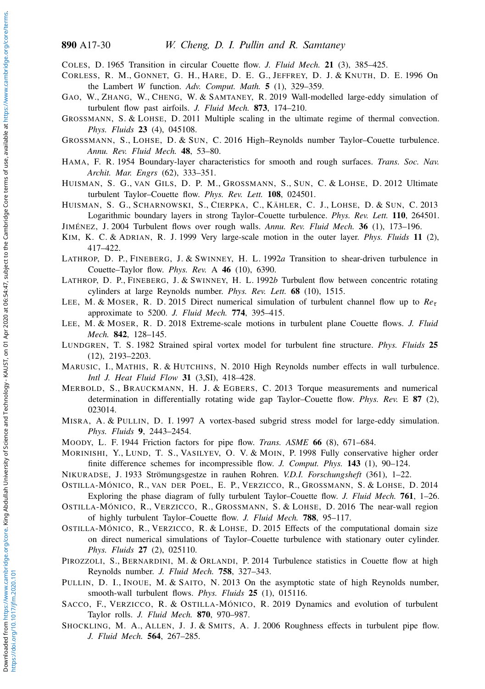<span id="page-29-0"></span>COLES, D. 1965 Transition in circular Couette flow. *J. Fluid Mech.* 21 (3), 385–425.

- <span id="page-29-21"></span>CORLESS, R. M., GONNET, G. H., HARE, D. E. G., JEFFREY, D. J. & KNUTH, D. E. 1996 On the Lambert *W* function. *Adv. Comput. Math.* 5 (1), 329–359.
- <span id="page-29-10"></span>GAO, W., ZHANG, W., CHENG, W. & SAMTANEY, R. 2019 Wall-modelled large-eddy simulation of turbulent flow past airfoils. *J. Fluid Mech.* 873, 174–210.
- <span id="page-29-20"></span>GROSSMANN, S. & LOHSE, D. 2011 Multiple scaling in the ultimate regime of thermal convection. *Phys. Fluids* 23 (4), 045108.
- <span id="page-29-1"></span>GROSSMANN, S., LOHSE, D. & SUN, C. 2016 High–Reynolds number Taylor–Couette turbulence. *Annu. Rev. Fluid Mech.* 48, 53–80.
- <span id="page-29-22"></span>HAMA, F. R. 1954 Boundary-layer characteristics for smooth and rough surfaces. *Trans. Soc. Nav. Archit. Mar. Engrs* (62), 333–351.
- <span id="page-29-3"></span>HUISMAN, S. G., VAN GILS, D. P. M., GROSSMANN, S., SUN, C. & LOHSE, D. 2012 Ultimate turbulent Taylor–Couette flow. *Phys. Rev. Lett.* 108, 024501.
- <span id="page-29-15"></span>HUISMAN, S. G., SCHARNOWSKI, S., CIERPKA, C., KÄHLER, C. J., LOHSE, D. & SUN, C. 2013 Logarithmic boundary layers in strong Taylor–Couette turbulence. *Phys. Rev. Lett.* 110, 264501.
- <span id="page-29-25"></span>JIMÉNEZ, J. 2004 Turbulent flows over rough walls. *Annu. Rev. Fluid Mech.* 36 (1), 173–196.
- <span id="page-29-17"></span>KIM, K. C. & ADRIAN, R. J. 1999 Very large-scale motion in the outer layer. *Phys. Fluids* 11 (2), 417–422.
- <span id="page-29-4"></span>LATHROP, D. P., FINEBERG, J. & SWINNEY, H. L. 1992*a* Transition to shear-driven turbulence in Couette–Taylor flow. *Phys. Rev.* A 46 (10), 6390.
- <span id="page-29-5"></span>LATHROP, D. P., FINEBERG, J. & SWINNEY, H. L. 1992*b* Turbulent flow between concentric rotating cylinders at large Reynolds number. *Phys. Rev. Lett.* 68 (10), 1515.
- <span id="page-29-14"></span>LEE, M. & MOSER, R. D. 2015 Direct numerical simulation of turbulent channel flow up to *Re*τ approximate to 5200. *J. Fluid Mech.* 774, 395–415.
- <span id="page-29-18"></span>LEE, M. & MOSER, R. D. 2018 Extreme-scale motions in turbulent plane Couette flows. *J. Fluid Mech.* 842, 128–145.
- <span id="page-29-12"></span>LUNDGREN, T. S. 1982 Strained spiral vortex model for turbulent fine structure. *Phys. Fluids* 25 (12), 2193–2203.
- <span id="page-29-16"></span>MARUSIC, I., MATHIS, R. & HUTCHINS, N. 2010 High Reynolds number effects in wall turbulence. *Intl J. Heat Fluid Flow* 31 (3,SI), 418–428.
- <span id="page-29-7"></span>MERBOLD, S., BRAUCKMANN, H. J. & EGBERS, C. 2013 Torque measurements and numerical determination in differentially rotating wide gap Taylor–Couette flow. *Phys. Rev.* E 87 (2), 023014.
- <span id="page-29-11"></span>MISRA, A. & PULLIN, D. I. 1997 A vortex-based subgrid stress model for large-eddy simulation. *Phys. Fluids* 9, 2443–2454.
- <span id="page-29-26"></span><span id="page-29-9"></span>MOODY, L. F. 1944 Friction factors for pipe flow. *Trans. ASME* 66 (8), 671–684.
- MORINISHI, Y., LUND, T. S., VASILYEV, O. V. & MOIN, P. 1998 Fully conservative higher order finite difference schemes for incompressible flow. *J. Comput. Phys.* 143 (1), 90–124.
- <span id="page-29-24"></span><span id="page-29-19"></span>NIKURADSE, J. 1933 Strömungsgestze in rauhen Rohren. *V.D.I. Forschungsheft* (361), 1–22.
- OSTILLA-MÓNICO, R., VAN DER POEL, E. P., VERZICCO, R., GROSSMANN, S. & LOHSE, D. 2014 Exploring the phase diagram of fully turbulent Taylor–Couette flow. *J. Fluid Mech.* 761, 1–26.
- <span id="page-29-8"></span>OSTILLA-MÓNICO, R., VERZICCO, R., GROSSMANN, S. & LOHSE, D. 2016 The near-wall region of highly turbulent Taylor–Couette flow. *J. Fluid Mech.* 788, 95–117.
- <span id="page-29-13"></span>OSTILLA-MÓNICO, R., VERZICCO, R. & LOHSE, D. 2015 Effects of the computational domain size on direct numerical simulations of Taylor–Couette turbulence with stationary outer cylinder. *Phys. Fluids* 27 (2), 025110.
- <span id="page-29-2"></span>PIROZZOLI, S., BERNARDINI, M. & ORLANDI, P. 2014 Turbulence statistics in Couette flow at high Reynolds number. *J. Fluid Mech.* 758, 327–343.
- <span id="page-29-27"></span>PULLIN, D. I., INOUE, M. & SAITO, N. 2013 On the asymptotic state of high Reynolds number, smooth-wall turbulent flows. *Phys. Fluids* 25 (1), 015116.
- <span id="page-29-6"></span>SACCO, F., VERZICCO, R. & OSTILLA-MÓNICO, R. 2019 Dynamics and evolution of turbulent Taylor rolls. *J. Fluid Mech.* 870, 970–987.
- <span id="page-29-23"></span>SHOCKLING, M. A., ALLEN, J. J. & SMITS, A. J. 2006 Roughness effects in turbulent pipe flow. *J. Fluid Mech.* 564, 267–285.

Downloaded from

https://doi.org/10.1017/jfm.2020.101